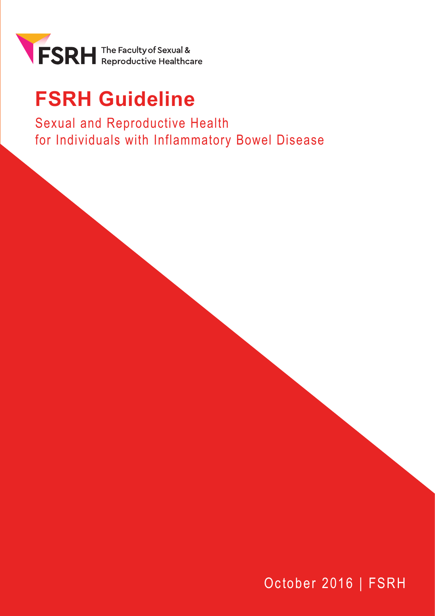

# **FSRH Guideline**

Sexual and Reproductive Health for Individuals with Inflammatory Bowel Disease

October 2016 | FSRH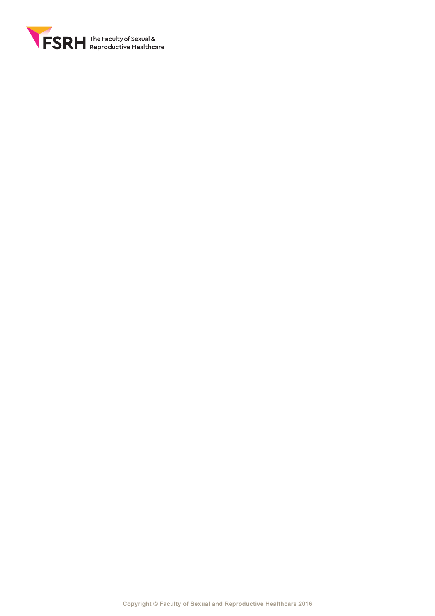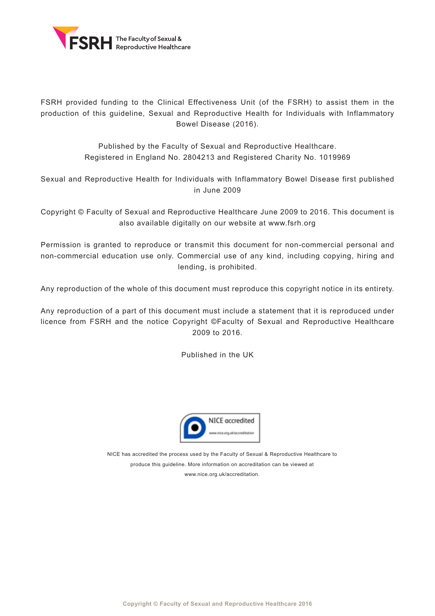

FSRH provided funding to the Clinical Effectiveness Unit (of the FSRH) to assist them in the production of this guideline, Sexual and Reproductive Health for Individuals with Inflammatory Bowel Disease (2016).

> Published by the Faculty of Sexual and Reproductive Healthcare. Registered in England No. 2804213 and Registered Charity No. 1019969

Sexual and Reproductive Health for Individuals with Inflammatory Bowel Disease first published in June 2009

Copyright © Faculty of Sexual and Reproductive Healthcare June 2009 to 2016. This document is also available digitally on our website at www.fsrh.org

Permission is granted to reproduce or transmit this document for non-commercial personal and non-commercial education use only. Commercial use of any kind, including copying, hiring and lending, is prohibited.

Any reproduction of the whole of this document must reproduce this copyright notice in its entirety.

Any reproduction of a part of this document must include a statement that it is reproduced under licence from FSRH and the notice Copyright ©Faculty of Sexual and Reproductive Healthcare 2009 to 2016.

Published in the UK



NICE has accredited the process used by the Faculty of Sexual & Reproductive Healthcare to produce this guideline. More information on accreditation can be viewed at [www.nice.org.uk/accreditation.](http://www.nice.org.uk/accreditation)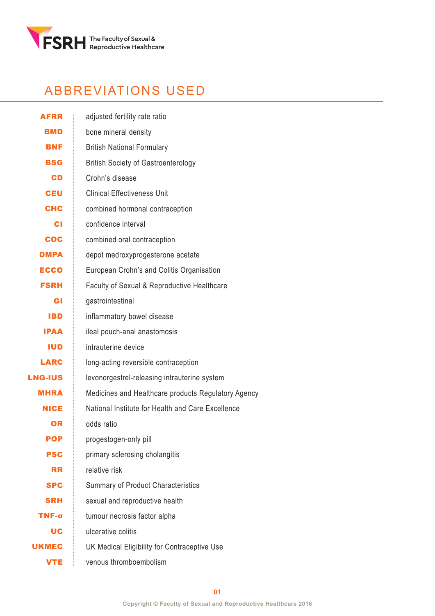<span id="page-3-0"></span>

## ABBREVIATIONS USED

| AFRR           | adjusted fertility rate ratio                       |  |  |  |
|----------------|-----------------------------------------------------|--|--|--|
| BMD            | bone mineral density                                |  |  |  |
| <b>BNF</b>     | <b>British National Formulary</b>                   |  |  |  |
| <b>BSG</b>     | <b>British Society of Gastroenterology</b>          |  |  |  |
| CD             | Crohn's disease                                     |  |  |  |
| <b>CEU</b>     | <b>Clinical Effectiveness Unit</b>                  |  |  |  |
| <b>CHC</b>     | combined hormonal contraception                     |  |  |  |
| <b>CI</b>      | confidence interval                                 |  |  |  |
| <b>COC</b>     | combined oral contraception                         |  |  |  |
| <b>DMPA</b>    | depot medroxyprogesterone acetate                   |  |  |  |
| <b>ECCO</b>    | European Crohn's and Colitis Organisation           |  |  |  |
| <b>FSRH</b>    | Faculty of Sexual & Reproductive Healthcare         |  |  |  |
| GI             | gastrointestinal                                    |  |  |  |
| <b>IBD</b>     | inflammatory bowel disease                          |  |  |  |
| <b>IPAA</b>    | ileal pouch-anal anastomosis                        |  |  |  |
| IUD            | intrauterine device                                 |  |  |  |
| <b>LARC</b>    | long-acting reversible contraception                |  |  |  |
| <b>LNG-IUS</b> | levonorgestrel-releasing intrauterine system        |  |  |  |
| <b>MHRA</b>    | Medicines and Healthcare products Regulatory Agency |  |  |  |
| <b>NICE</b>    | National Institute for Health and Care Excellence   |  |  |  |
| OR             | odds ratio                                          |  |  |  |
| <b>POP</b>     | progestogen-only pill                               |  |  |  |
| <b>PSC</b>     | primary sclerosing cholangitis                      |  |  |  |
| <b>RR</b>      | relative risk                                       |  |  |  |
| <b>SPC</b>     | <b>Summary of Product Characteristics</b>           |  |  |  |
| <b>SRH</b>     | sexual and reproductive health                      |  |  |  |
| TNF-α          | tumour necrosis factor alpha                        |  |  |  |
| UC             | ulcerative colitis                                  |  |  |  |
| <b>UKMEC</b>   | UK Medical Eligibility for Contraceptive Use        |  |  |  |
| VTE            | venous thromboembolism                              |  |  |  |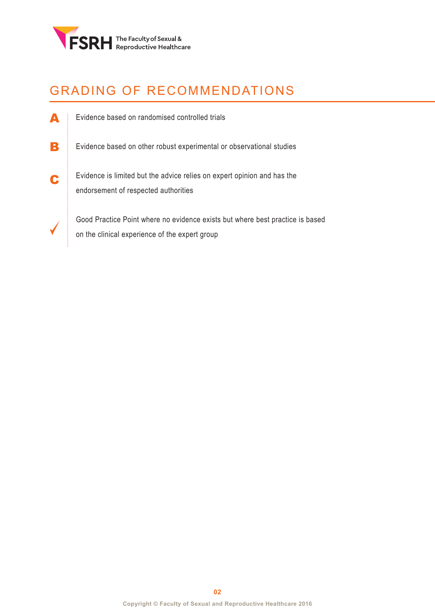<span id="page-4-0"></span>

### GRADING OF RECOMMENDATIONS

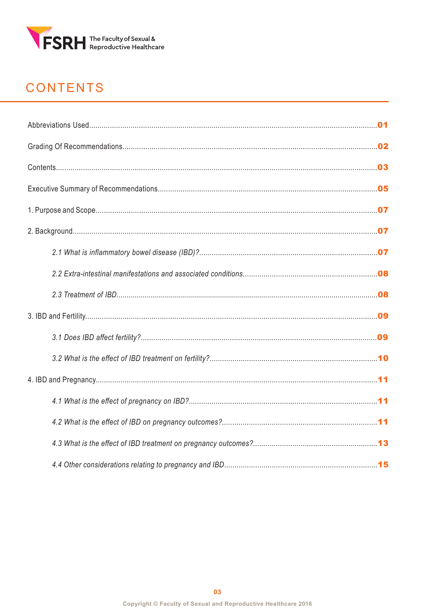

## **CONTENTS**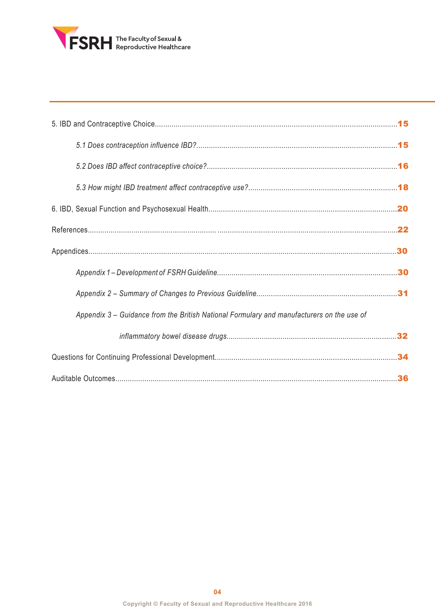

| Appendix 3 – Guidance from the British National Formulary and manufacturers on the use of |  |  |  |  |
|-------------------------------------------------------------------------------------------|--|--|--|--|
|                                                                                           |  |  |  |  |
|                                                                                           |  |  |  |  |
|                                                                                           |  |  |  |  |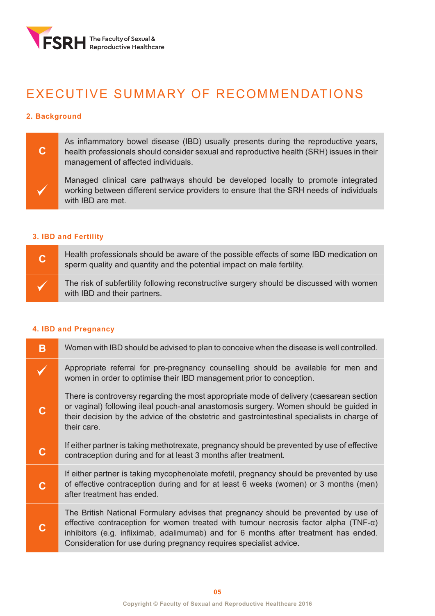<span id="page-7-0"></span>

### EXECUTIVE SUMMARY OF RECOMMENDATIONS

#### **2. Background**

**C**

As inflammatory bowel disease (IBD) usually presents during the reproductive years, health professionals should consider sexual and reproductive health (SRH) issues in their management of affected individuals.

Managed clinical care pathways should be developed locally to promote integrated working between different service providers to ensure that the SRH needs of individuals with IBD are met.

#### **3. IBD and Fertility**

| $\mathbf C$              | Health professionals should be aware of the possible effects of some IBD medication on<br>sperm quality and quantity and the potential impact on male fertility. |
|--------------------------|------------------------------------------------------------------------------------------------------------------------------------------------------------------|
| $\overline{\mathscr{A}}$ | The risk of subfertility following reconstructive surgery should be discussed with women<br>with IBD and their partners.                                         |

#### **4. IBD and Pregnancy**

| B           | Women with IBD should be advised to plan to conceive when the disease is well controlled.                                                                                                                                                                                                                                                         |
|-------------|---------------------------------------------------------------------------------------------------------------------------------------------------------------------------------------------------------------------------------------------------------------------------------------------------------------------------------------------------|
|             | Appropriate referral for pre-pregnancy counselling should be available for men and<br>women in order to optimise their IBD management prior to conception.                                                                                                                                                                                        |
| $\mathbf C$ | There is controversy regarding the most appropriate mode of delivery (caesarean section<br>or vaginal) following ileal pouch-anal anastomosis surgery. Women should be guided in<br>their decision by the advice of the obstetric and gastrointestinal specialists in charge of<br>their care.                                                    |
| $\mathbf C$ | If either partner is taking methotrexate, pregnancy should be prevented by use of effective<br>contraception during and for at least 3 months after treatment.                                                                                                                                                                                    |
| $\mathbf C$ | If either partner is taking mycophenolate mofetil, pregnancy should be prevented by use<br>of effective contraception during and for at least 6 weeks (women) or 3 months (men)<br>after treatment has ended.                                                                                                                                     |
|             | The British National Formulary advises that pregnancy should be prevented by use of<br>effective contraception for women treated with tumour necrosis factor alpha (TNF- $\alpha$ )<br>inhibitors (e.g. infliximab, adalimumab) and for 6 months after treatment has ended.<br>Consideration for use during pregnancy requires specialist advice. |
|             |                                                                                                                                                                                                                                                                                                                                                   |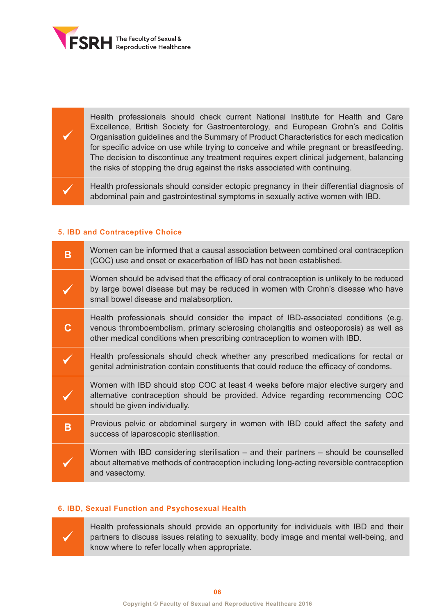

Health professionals should check current National Institute for Health and Care Excellence, British Society for Gastroenterology, and European Crohn's and Colitis Organisation guidelines and the Summary of Product Characteristics for each medication for specific advice on use while trying to conceive and while pregnant or breastfeeding. The decision to discontinue any treatment requires expert clinical judgement, balancing the risks of stopping the drug against the risks associated with continuing.

Health professionals should consider ectopic pregnancy in their differential diagnosis of abdominal pain and gastrointestinal symptoms in sexually active women with IBD.

#### **5. IBD and Contraceptive Choice**

**B** Women can be informed that a causal association between combined oral contraception (COC) use and onset or exacerbation of IBD has not been established. Women should be advised that the efficacy of oral contraception is unlikely to be reduced by large bowel disease but may be reduced in women with Crohn's disease who have small bowel disease and malabsorption. Health professionals should consider the impact of IBD-associated conditions (e.g. **C** venous thromboembolism, primary sclerosing cholangitis and osteoporosis) as well as other medical conditions when prescribing contraception to women with IBD. Health professionals should check whether any prescribed medications for rectal or  $\checkmark$ genital administration contain constituents that could reduce the efficacy of condoms. Women with IBD should stop COC at least 4 weeks before major elective surgery and alternative contraception should be provided. Advice regarding recommencing COC should be given individually. **B** Previous pelvic or abdominal surgery in women with IBD could affect the safety and success of laparoscopic sterilisation. Women with IBD considering sterilisation – and their partners – should be counselled about alternative methods of contraception including long-acting reversible contraception and vasectomy.

#### **6. IBD, Sexual Function and Psychosexual Health**



Health professionals should provide an opportunity for individuals with IBD and their partners to discuss issues relating to sexuality, body image and mental well-being, and know where to refer locally when appropriate.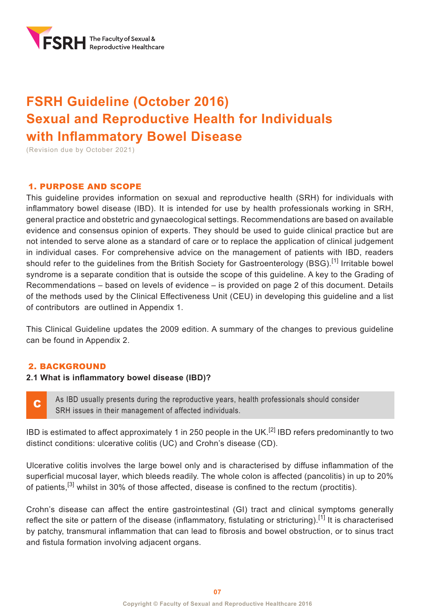<span id="page-9-0"></span>

# **FSRH Guideline (October 2016) Sexual and Reproductive Health for Individuals with Inflammatory Bowel Disease**

(Revision due by October 2021)

#### 1. PURPOSE AND SCOPE

This guideline provides information on sexual and reproductive health (SRH) for individuals with inflammatory bowel disease (IBD). It is intended for use by health professionals working in SRH, general practice and obstetric and gynaecological settings. Recommendations are based on available evidence and consensus opinion of experts. They should be used to guide clinical practice but are not intended to serve alone as a standard of care or to replace the application of clinical judgement in individual cases. For comprehensive advice on the management of patients with IBD, readers should refer to the guidelines from the British Society for Gastroenterology (BSG).<sup>[1]</sup> Irritable bowel syndrome is a separate condition that is outside the scope of this guideline. A key to the Grading of Recommendations – based on levels of evidence – is provided on page 2 of this document. Details of the methods used by the Clinical Effectiveness Unit (CEU) in developing this guideline and a list of contributors are outlined in [Appendix 1.](#page-32-0)

This Clinical Guideline updates the 2009 edition. A summary of the changes to previous guideline can be found in [Appendix 2.](#page-33-0)

#### 2. BACKGROUND

#### **2.1 What is inflammatory bowel disease (IBD)?**

 C As IBD usually presents during the reproductive years, health professionals should consider SRH issues in their management of affected individuals.

IBD is estimated to affect approximately 1 in 250 people in the UK.<sup>[2]</sup> IBD refers predominantly to two distinct conditions: ulcerative colitis (UC) and Crohn's disease (CD).

Ulcerative colitis involves the large bowel only and is characterised by diffuse inflammation of the superficial mucosal layer, which bleeds readily. The whole colon is affected (pancolitis) in up to 20% of patients,<sup>[3]</sup> whilst in 30% of those affected, disease is confined to the rectum (proctitis).

Crohn's disease can affect the entire gastrointestinal (GI) tract and clinical symptoms generally reflect the site or pattern of the disease (inflammatory, fistulating or stricturing).<sup>[1]</sup> It is characterised by patchy, transmural inflammation that can lead to fibrosis and bowel obstruction, or to sinus tract and fistula formation involving adjacent organs.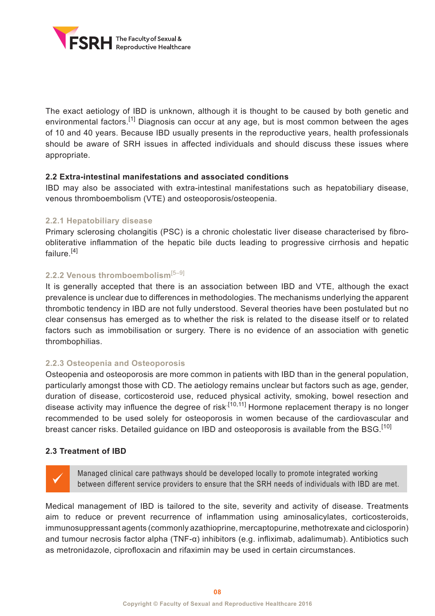<span id="page-10-0"></span>

The exact aetiology of IBD is unknown, although it is thought to be caused by both genetic and environmental factors.<sup>[1]</sup> Diagnosis can occur at any age, but is most common between the ages of 10 and 40 years. Because IBD usually presents in the reproductive years, health professionals should be aware of SRH issues in affected individuals and should discuss these issues where appropriate.

#### **2.2 Extra-intestinal manifestations and associated conditions**

IBD may also be associated with extra-intestinal manifestations such as hepatobiliary disease, venous thromboembolism (VTE) and osteoporosis/osteopenia.

#### **2.2.1 Hepatobiliary disease**

Primary sclerosing cholangitis (PSC) is a chronic cholestatic liver disease characterised by fibroobliterative inflammation of the hepatic bile ducts leading to progressive cirrhosis and hepatic failure.<sup>[4]</sup>

#### **2.2.2 Venous thromboembolism**[5–9]

It is generally accepted that there is an association between IBD and VTE, although the exact prevalence is unclear due to differences in methodologies. The mechanisms underlying the apparent thrombotic tendency in IBD are not fully understood. Several theories have been postulated but no clear consensus has emerged as to whether the risk is related to the disease itself or to related factors such as immobilisation or surgery. There is no evidence of an association with genetic thrombophilias.

#### **2.2.3 Osteopenia and Osteoporosis**

Osteopenia and osteoporosis are more common in patients with IBD than in the general population, particularly amongst those with CD. The aetiology remains unclear but factors such as age, gender, duration of disease, corticosteroid use, reduced physical activity, smoking, bowel resection and disease activity may influence the degree of risk.<sup>[10,11]</sup> Hormone replacement therapy is no longer recommended to be used solely for osteoporosis in women because of the cardiovascular and breast cancer risks. Detailed guidance on IBD and osteoporosis is available from the BSG.<sup>[10]</sup>

#### **2.3 Treatment of IBD**

 Managed clinical care pathways should be developed locally to promote integrated working between different service providers to ensure that the SRH needs of individuals with IBD are met.

Medical management of IBD is tailored to the site, severity and activity of disease. Treatments aim to reduce or prevent recurrence of inflammation using aminosalicylates, corticosteroids, immunosuppressant agents (commonly azathioprine, mercaptopurine, methotrexate and ciclosporin) and tumour necrosis factor alpha (TNF-α) inhibitors (e.g. infliximab, adalimumab). Antibiotics such as metronidazole, ciprofloxacin and rifaximin may be used in certain circumstances.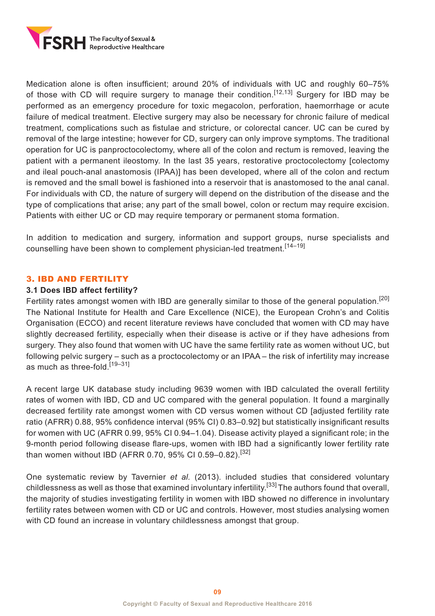<span id="page-11-0"></span>

Medication alone is often insufficient; around 20% of individuals with UC and roughly 60–75% of those with CD will require surgery to manage their condition.<sup>[12,13]</sup> Surgery for IBD may be performed as an emergency procedure for toxic megacolon, perforation, haemorrhage or acute failure of medical treatment. Elective surgery may also be necessary for chronic failure of medical treatment, complications such as fistulae and stricture, or colorectal cancer. UC can be cured by removal of the large intestine; however for CD, surgery can only improve symptoms. The traditional operation for UC is panproctocolectomy, where all of the colon and rectum is removed, leaving the patient with a permanent ileostomy. In the last 35 years, restorative proctocolectomy [colectomy and ileal pouch-anal anastomosis (IPAA)] has been developed, where all of the colon and rectum is removed and the small bowel is fashioned into a reservoir that is anastomosed to the anal canal. For individuals with CD, the nature of surgery will depend on the distribution of the disease and the type of complications that arise; any part of the small bowel, colon or rectum may require excision. Patients with either UC or CD may require temporary or permanent stoma formation.

In addition to medication and surgery, information and support groups, nurse specialists and counselling have been shown to complement physician-led treatment.[14–19]

#### 3. IBD AND FERTILITY

#### **3.1 Does IBD affect fertility?**

Fertility rates amongst women with IBD are generally similar to those of the general population.<sup>[20]</sup> The National Institute for Health and Care Excellence (NICE), the European Crohn's and Colitis Organisation (ECCO) and recent literature reviews have concluded that women with CD may have slightly decreased fertility, especially when their disease is active or if they have adhesions from surgery. They also found that women with UC have the same fertility rate as women without UC, but following pelvic surgery – such as a proctocolectomy or an IPAA – the risk of infertility may increase as much as three-fold.<sup>[19–31]</sup>

A recent large UK database study including 9639 women with IBD calculated the overall fertility rates of women with IBD, CD and UC compared with the general population. It found a marginally decreased fertility rate amongst women with CD versus women without CD [adjusted fertility rate ratio (AFRR) 0.88, 95% confidence interval (95% CI) 0.83–0.92] but statistically insignificant results for women with UC (AFRR 0.99, 95% CI 0.94–1.04). Disease activity played a significant role; in the 9-month period following disease flare-ups, women with IBD had a significantly lower fertility rate than women without IBD (AFRR 0.70, 95% CI 0.59–0.82).<sup>[32]</sup>

One systematic review by Tavernier *et al.* (2013). included studies that considered voluntary childlessness as well as those that examined involuntary infertility.[33] The authors found that overall, the majority of studies investigating fertility in women with IBD showed no difference in involuntary fertility rates between women with CD or UC and controls. However, most studies analysing women with CD found an increase in voluntary childlessness amongst that group.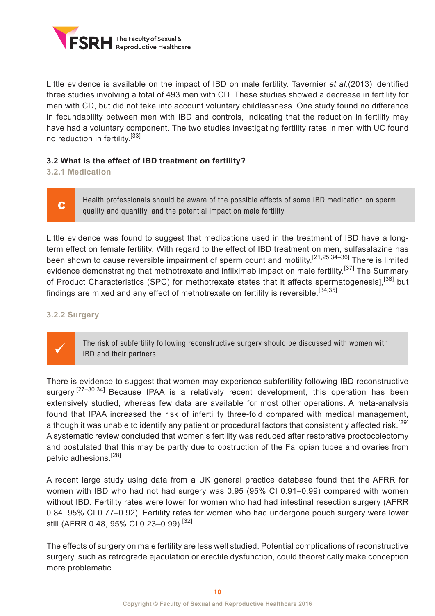<span id="page-12-0"></span>

Little evidence is available on the impact of IBD on male fertility. Tavernier *et al*.(2013) identified three studies involving a total of 493 men with CD. These studies showed a decrease in fertility for men with CD, but did not take into account voluntary childlessness. One study found no difference in fecundability between men with IBD and controls, indicating that the reduction in fertility may have had a voluntary component. The two studies investigating fertility rates in men with UC found no reduction in fertility.<sup>[33]</sup>

#### **3.2 What is the effect of IBD treatment on fertility?**

**3.2.1 Medication**



<sup>C</sup> Health professionals should be aware of the possible effects of some IBD medication on sperm quality and quantity, and the potential impact on male fertility.

Little evidence was found to suggest that medications used in the treatment of IBD have a longterm effect on female fertility. With regard to the effect of IBD treatment on men, sulfasalazine has been shown to cause reversible impairment of sperm count and motility.<sup>[21,25,34–36]</sup> There is limited evidence demonstrating that methotrexate and infliximab impact on male fertility.<sup>[37]</sup> The Summary of Product Characteristics (SPC) for methotrexate states that it affects spermatogenesis],<sup>[38]</sup> but findings are mixed and any effect of methotrexate on fertility is reversible.<sup>[34,35]</sup>

#### **3.2.2 Surgery**



The risk of subfertility following reconstructive surgery should be discussed with women with IBD and their partners.

There is evidence to suggest that women may experience subfertility following IBD reconstructive surgery.<sup>[27–30,34]</sup> Because IPAA is a relatively recent development, this operation has been extensively studied, whereas few data are available for most other operations. A meta-analysis found that IPAA increased the risk of infertility three-fold compared with medical management, although it was unable to identify any patient or procedural factors that consistently affected risk.<sup>[29]</sup> A systematic review concluded that women's fertility was reduced after restorative proctocolectomy and postulated that this may be partly due to obstruction of the Fallopian tubes and ovaries from pelvic adhesions.[28]

A recent large study using data from a UK general practice database found that the AFRR for women with IBD who had not had surgery was 0.95 (95% CI 0.91–0.99) compared with women without IBD. Fertility rates were lower for women who had had intestinal resection surgery (AFRR 0.84, 95% CI 0.77–0.92). Fertility rates for women who had undergone pouch surgery were lower still (AFRR 0.48, 95% CI 0.23-0.99).<sup>[32]</sup>

The effects of surgery on male fertility are less well studied. Potential complications of reconstructive surgery, such as retrograde ejaculation or erectile dysfunction, could theoretically make conception more problematic.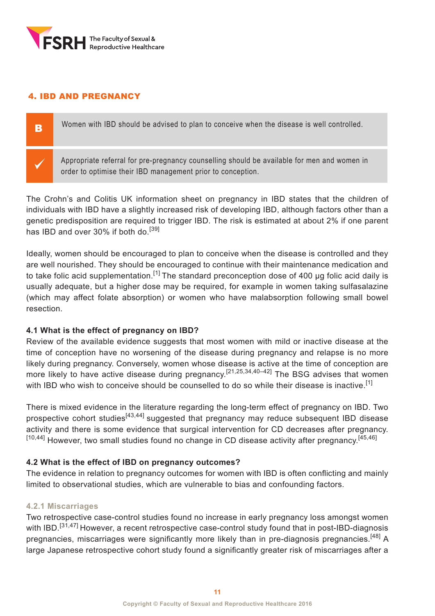<span id="page-13-0"></span>

#### 4. IBD AND PREGNANCY

| B | Women with IBD should be advised to plan to conceive when the disease is well controlled.                                                                  |
|---|------------------------------------------------------------------------------------------------------------------------------------------------------------|
|   | Appropriate referral for pre-pregnancy counselling should be available for men and women in<br>order to optimise their IBD management prior to conception. |

The Crohn's and Colitis UK information sheet on pregnancy in IBD states that the children of individuals with IBD have a slightly increased risk of developing IBD, although factors other than a genetic predisposition are required to trigger IBD. The risk is estimated at about 2% if one parent has IBD and over 30% if both do.<sup>[39]</sup>

Ideally, women should be encouraged to plan to conceive when the disease is controlled and they are well nourished. They should be encouraged to continue with their maintenance medication and to take folic acid supplementation.<sup>[1]</sup> The standard preconception dose of 400 µg folic acid daily is usually adequate, but a higher dose may be required, for example in women taking sulfasalazine (which may affect folate absorption) or women who have malabsorption following small bowel resection.

#### **4.1 What is the effect of pregnancy on IBD?**

Review of the available evidence suggests that most women with mild or inactive disease at the time of conception have no worsening of the disease during pregnancy and relapse is no more likely during pregnancy. Conversely, women whose disease is active at the time of conception are more likely to have active disease during pregnancy.<sup>[21,25,34,40-42]</sup> The BSG advises that women with IBD who wish to conceive should be counselled to do so while their disease is inactive.<sup>[1]</sup>

There is mixed evidence in the literature regarding the long-term effect of pregnancy on IBD. Two prospective cohort studies<sup>[43,44]</sup> suggested that pregnancy may reduce subsequent IBD disease activity and there is some evidence that surgical intervention for CD decreases after pregnancy. [10,44] However, two small studies found no change in CD disease activity after pregnancy.<sup>[45,46]</sup>

#### **4.2 What is the effect of IBD on pregnancy outcomes?**

The evidence in relation to pregnancy outcomes for women with IBD is often conflicting and mainly limited to observational studies, which are vulnerable to bias and confounding factors.

#### **4.2.1 Miscarriages**

Two retrospective case-control studies found no increase in early pregnancy loss amongst women with IBD.<sup>[31,47]</sup> However, a recent retrospective case-control study found that in post-IBD-diagnosis pregnancies, miscarriages were significantly more likely than in pre-diagnosis pregnancies.<sup>[48]</sup> A large Japanese retrospective cohort study found a significantly greater risk of miscarriages after a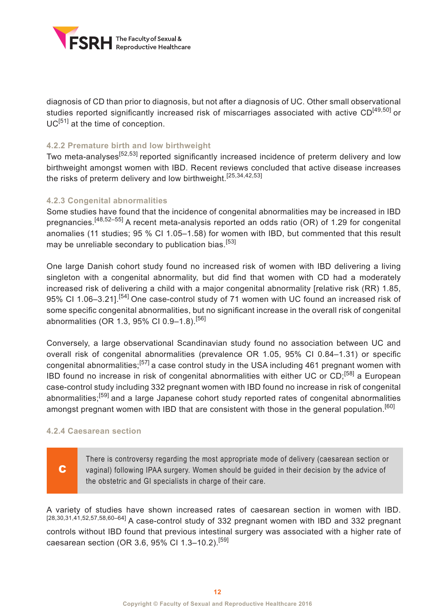

diagnosis of CD than prior to diagnosis, but not after a diagnosis of UC. Other small observational studies reported significantly increased risk of miscarriages associated with active CD<sup>[49,50]</sup> or  $UC^{[51]}$  at the time of conception.

#### **4.2.2 Premature birth and low birthweight**

Two meta-analyses<sup>[52,53]</sup> reported significantly increased incidence of preterm delivery and low birthweight amongst women with IBD. Recent reviews concluded that active disease increases the risks of preterm delivery and low birthweight.<sup>[25,34,42,53]</sup>

#### **4.2.3 Congenital abnormalities**

Some studies have found that the incidence of congenital abnormalities may be increased in IBD pregnancies.[48,52–55] A recent meta-analysis reported an odds ratio (OR) of 1.29 for congenital anomalies (11 studies; 95 % CI 1.05–1.58) for women with IBD, but commented that this result may be unreliable secondary to publication bias.<sup>[53]</sup>

One large Danish cohort study found no increased risk of women with IBD delivering a living singleton with a congenital abnormality, but did find that women with CD had a moderately increased risk of delivering a child with a major congenital abnormality [relative risk (RR) 1.85, 95% CI 1.06-3.21].<sup>[54]</sup> One case-control study of 71 women with UC found an increased risk of some specific congenital abnormalities, but no significant increase in the overall risk of congenital abnormalities (OR 1.3, 95% CI 0.9-1.8).<sup>[56]</sup>

Conversely, a large observational Scandinavian study found no association between UC and overall risk of congenital abnormalities (prevalence OR 1.05, 95% CI 0.84–1.31) or specific congenital abnormalities;<sup>[57]</sup> a case control study in the USA including 461 pregnant women with IBD found no increase in risk of congenital abnormalities with either UC or CD:<sup>[58]</sup> a European case-control study including 332 pregnant women with IBD found no increase in risk of congenital abnormalities;<sup>[59]</sup> and a large Japanese cohort study reported rates of congenital abnormalities amongst pregnant women with IBD that are consistent with those in the general population.<sup>[60]</sup>

#### **4.2.4 Caesarean section**

# C

There is controversy regarding the most appropriate mode of delivery (caesarean section or vaginal) following IPAA surgery. Women should be guided in their decision by the advice of the obstetric and GI specialists in charge of their care.

A variety of studies have shown increased rates of caesarean section in women with IBD. [28,30,31,41,52,57,58,60–64] A case-control study of 332 pregnant women with IBD and 332 pregnant controls without IBD found that previous intestinal surgery was associated with a higher rate of caesarean section (OR 3.6, 95% CI 1.3-10.2).<sup>[59]</sup>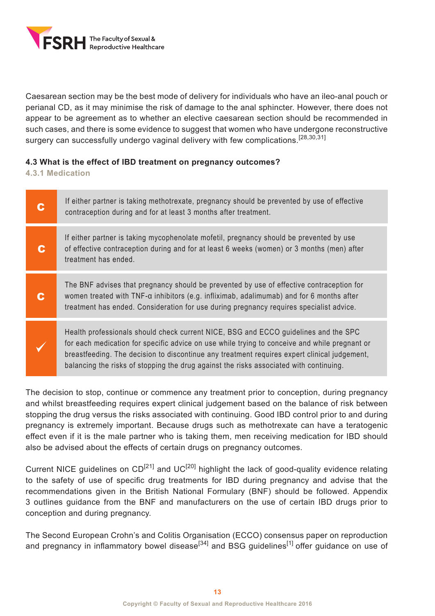<span id="page-15-0"></span>

Caesarean section may be the best mode of delivery for individuals who have an ileo-anal pouch or perianal CD, as it may minimise the risk of damage to the anal sphincter. However, there does not appear to be agreement as to whether an elective caesarean section should be recommended in such cases, and there is some evidence to suggest that women who have undergone reconstructive surgery can successfully undergo vaginal delivery with few complications.<sup>[28,30,31]</sup>

#### **4.3 What is the effect of IBD treatment on pregnancy outcomes?**

**4.3.1 Medication**

| C           | If either partner is taking methotrexate, pregnancy should be prevented by use of effective<br>contraception during and for at least 3 months after treatment.                                                                                                                                                                                                                 |
|-------------|--------------------------------------------------------------------------------------------------------------------------------------------------------------------------------------------------------------------------------------------------------------------------------------------------------------------------------------------------------------------------------|
| C.          | If either partner is taking mycophenolate mofetil, pregnancy should be prevented by use<br>of effective contraception during and for at least 6 weeks (women) or 3 months (men) after<br>treatment has ended.                                                                                                                                                                  |
| $\mathbf c$ | The BNF advises that pregnancy should be prevented by use of effective contraception for<br>women treated with TNF-a inhibitors (e.g. infliximab, adalimumab) and for 6 months after<br>treatment has ended. Consideration for use during pregnancy requires specialist advice.                                                                                                |
|             | Health professionals should check current NICE, BSG and ECCO guidelines and the SPC<br>for each medication for specific advice on use while trying to conceive and while pregnant or<br>breastfeeding. The decision to discontinue any treatment requires expert clinical judgement,<br>balancing the risks of stopping the drug against the risks associated with continuing. |

The decision to stop, continue or commence any treatment prior to conception, during pregnancy and whilst breastfeeding requires expert clinical judgement based on the balance of risk between stopping the drug versus the risks associated with continuing. Good IBD control prior to and during pregnancy is extremely important. Because drugs such as methotrexate can have a teratogenic effect even if it is the male partner who is taking them, men receiving medication for IBD should also be advised about the effects of certain drugs on pregnancy outcomes.

Current NICE quidelines on  $CD^{[21]}$  and  $UC^{[20]}$  highlight the lack of good-quality evidence relating to the safety of use of specific drug treatments for IBD during pregnancy and advise that the recommendations given in the British National Formulary (BNF) should be followed. Appendix 3 outlines guidance from the BNF and manufacturers on the use of certain IBD drugs prior to conception and during pregnancy.

The Second European Crohn's and Colitis Organisation (ECCO) consensus paper on reproduction and pregnancy in inflammatory bowel disease<sup>[34]</sup> and BSG guidelines<sup>[1]</sup> offer guidance on use of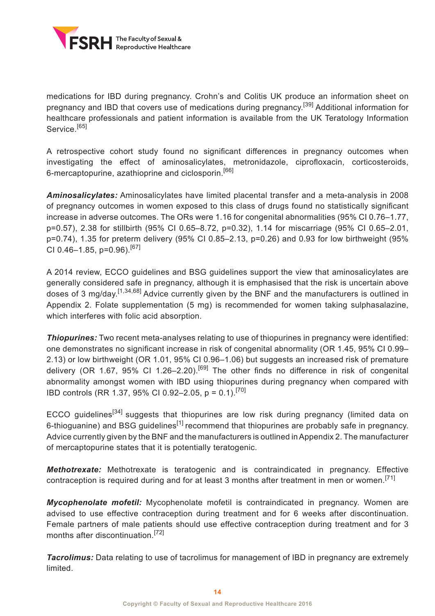

medications for IBD during pregnancy. Crohn's and Colitis UK produce an information sheet on pregnancy and IBD that covers use of medications during pregnancy.[39] Additional information for healthcare professionals and patient information is available from the UK Teratology Information Service.<sup>[65]</sup>

A retrospective cohort study found no significant differences in pregnancy outcomes when investigating the effect of aminosalicylates, metronidazole, ciprofloxacin, corticosteroids, 6-mercaptopurine, azathioprine and ciclosporin.[66]

*Aminosalicylates:* Aminosalicylates have limited placental transfer and a meta-analysis in 2008 of pregnancy outcomes in women exposed to this class of drugs found no statistically significant increase in adverse outcomes. The ORs were 1.16 for congenital abnormalities (95% CI 0.76–1.77, p=0.57), 2.38 for stillbirth (95% CI 0.65–8.72, p=0.32), 1.14 for miscarriage (95% CI 0.65–2.01, p=0.74), 1.35 for preterm delivery (95% CI 0.85–2.13, p=0.26) and 0.93 for low birthweight (95% CI 0.46-1.85, p=0.96).<sup>[67]</sup>

A 2014 review, ECCO guidelines and BSG guidelines support the view that aminosalicylates are generally considered safe in pregnancy, although it is emphasised that the risk is uncertain above doses of 3 mg/day.[1,34,68] Advice currently given by the BNF and the manufacturers is outlined in Appendix 2. Folate supplementation (5 mg) is recommended for women taking sulphasalazine, which interferes with folic acid absorption.

*Thiopurines:* Two recent meta-analyses relating to use of thiopurines in pregnancy were identified: one demonstrates no significant increase in risk of congenital abnormality (OR 1.45, 95% CI 0.99– 2.13) or low birthweight (OR 1.01, 95% CI 0.96–1.06) but suggests an increased risk of premature delivery (OR 1.67, 95% CI 1.26–2.20).<sup>[69]</sup> The other finds no difference in risk of congenital abnormality amongst women with IBD using thiopurines during pregnancy when compared with IBD controls (RR 1.37, 95% CI 0.92–2.05, p = 0.1).<sup>[70]</sup>

ECCO guidelines<sup>[34]</sup> suggests that thiopurines are low risk during pregnancy (limited data on 6-thioguanine) and BSG guidelines<sup>[1]</sup> recommend that thiopurines are probably safe in pregnancy. Advice currently given by the BNF and the manufacturers is outlined in Appendix 2. The manufacturer of mercaptopurine states that it is potentially teratogenic.

*Methotrexate:* Methotrexate is teratogenic and is contraindicated in pregnancy. Effective contraception is required during and for at least 3 months after treatment in men or women.<sup>[71]</sup>

*Mycophenolate mofetil:* Mycophenolate mofetil is contraindicated in pregnancy. Women are advised to use effective contraception during treatment and for 6 weeks after discontinuation. Female partners of male patients should use effective contraception during treatment and for 3 months after discontinuation.<sup>[72]</sup>

*Tacrolimus:* Data relating to use of tacrolimus for management of IBD in pregnancy are extremely limited.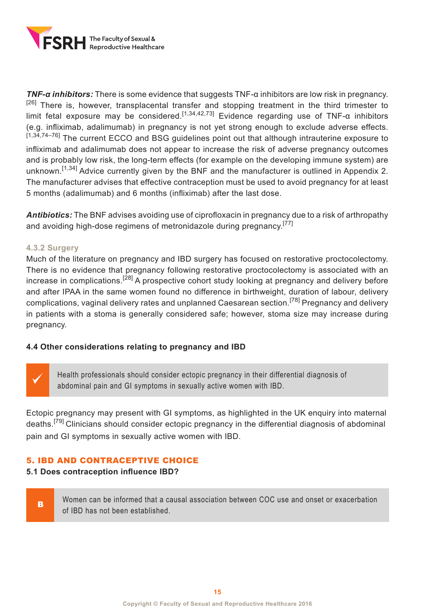<span id="page-17-0"></span>

*TNF-α inhibitors:* There is some evidence that suggests TNF-α inhibitors are low risk in pregnancy. [26] There is, however, transplacental transfer and stopping treatment in the third trimester to limit fetal exposure may be considered.<sup>[1,34,42,73]</sup> Evidence regarding use of TNF- $\alpha$  inhibitors (e.g. infliximab, adalimumab) in pregnancy is not yet strong enough to exclude adverse effects. [1,34,74–76] The current ECCO and BSG guidelines point out that although intrauterine exposure to infliximab and adalimumab does not appear to increase the risk of adverse pregnancy outcomes and is probably low risk, the long-term effects (for example on the developing immune system) are unknown.<sup>[1,34]</sup> Advice currently given by the BNF and the manufacturer is outlined in Appendix 2. The manufacturer advises that effective contraception must be used to avoid pregnancy for at least 5 months (adalimumab) and 6 months (infliximab) after the last dose.

*Antibiotics:* The BNF advises avoiding use of ciprofloxacin in pregnancy due to a risk of arthropathy and avoiding high-dose regimens of metronidazole during pregnancy.<sup>[77]</sup>

#### **4.3.2 Surgery**

Much of the literature on pregnancy and IBD surgery has focused on restorative proctocolectomy. There is no evidence that pregnancy following restorative proctocolectomy is associated with an increase in complications.<sup>[28]</sup> A prospective cohort study looking at pregnancy and delivery before and after IPAA in the same women found no difference in birthweight, duration of labour, delivery complications, vaginal delivery rates and unplanned Caesarean section.[78] Pregnancy and delivery in patients with a stoma is generally considered safe; however, stoma size may increase during pregnancy.

#### **4.4 Other considerations relating to pregnancy and IBD**

 Health professionals should consider ectopic pregnancy in their differential diagnosis of abdominal pain and GI symptoms in sexually active women with IBD.

Ectopic pregnancy may present with GI symptoms, as highlighted in the UK enquiry into maternal deaths.<sup>[79]</sup> Clinicians should consider ectopic pregnancy in the differential diagnosis of abdominal pain and GI symptoms in sexually active women with IBD.

#### 5. IBD AND CONTRACEPTIVE CHOICE

#### **5.1 Does contraception influence IBD?**

B<sub>B</sub>Women can be informed that a causal association between COC use and onset or exacerbation of IBD has not been established.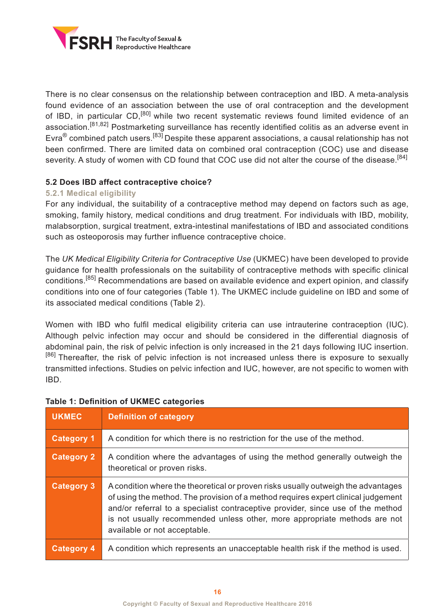<span id="page-18-0"></span>

There is no clear consensus on the relationship between contraception and IBD. A meta-analysis found evidence of an association between the use of oral contraception and the development of IBD, in particular CD,<sup>[80]</sup> while two recent systematic reviews found limited evidence of an association.<sup>[81,82]</sup> Postmarketing surveillance has recently identified colitis as an adverse event in Evra<sup>®</sup> combined patch users.<sup>[83]</sup> Despite these apparent associations, a causal relationship has not been confirmed. There are limited data on combined oral contraception (COC) use and disease severity. A study of women with CD found that COC use did not alter the course of the disease.<sup>[84]</sup>

#### **5.2 Does IBD affect contraceptive choice?**

#### **5.2.1 Medical eligibility**

For any individual, the suitability of a contraceptive method may depend on factors such as age, smoking, family history, medical conditions and drug treatment. For individuals with IBD, mobility, malabsorption, surgical treatment, extra-intestinal manifestations of IBD and associated conditions such as osteoporosis may further influence contraceptive choice.

The *UK Medical Eligibility Criteria for Contraceptive Use* (UKMEC) have been developed to provide guidance for health professionals on the suitability of contraceptive methods with specific clinical conditions.[85] Recommendations are based on available evidence and expert opinion, and classify conditions into one of four categories (Table 1). The UKMEC include guideline on IBD and some of its associated medical conditions (Table 2).

Women with IBD who fulfil medical eligibility criteria can use intrauterine contraception (IUC). Although pelvic infection may occur and should be considered in the differential diagnosis of abdominal pain, the risk of pelvic infection is only increased in the 21 days following IUC insertion. [86] Thereafter, the risk of pelvic infection is not increased unless there is exposure to sexually transmitted infections. Studies on pelvic infection and IUC, however, are not specific to women with IBD.

| <b>UKMEC</b>      | <b>Definition of category</b>                                                                                                                                                                                                                                                                                                                                          |
|-------------------|------------------------------------------------------------------------------------------------------------------------------------------------------------------------------------------------------------------------------------------------------------------------------------------------------------------------------------------------------------------------|
| <b>Category 1</b> | A condition for which there is no restriction for the use of the method.                                                                                                                                                                                                                                                                                               |
| <b>Category 2</b> | A condition where the advantages of using the method generally outweigh the<br>theoretical or proven risks.                                                                                                                                                                                                                                                            |
| <b>Category 3</b> | A condition where the theoretical or proven risks usually outweigh the advantages<br>of using the method. The provision of a method requires expert clinical judgement<br>and/or referral to a specialist contraceptive provider, since use of the method<br>is not usually recommended unless other, more appropriate methods are not<br>available or not acceptable. |
| <b>Category 4</b> | A condition which represents an unacceptable health risk if the method is used.                                                                                                                                                                                                                                                                                        |

#### **Table 1: Definition of UKMEC categories**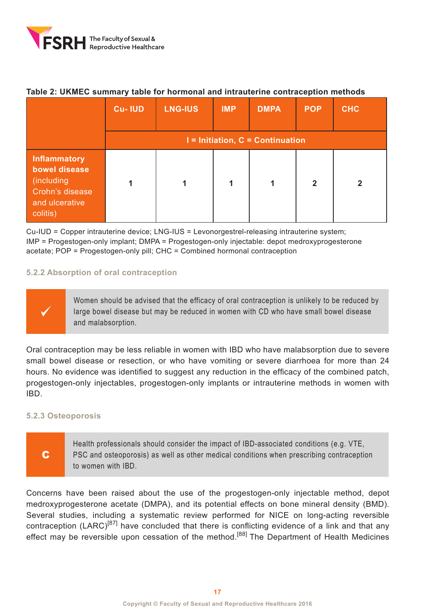

|                                                                                                     | Cu-IUD | <b>LNG-IUS</b> | <b>IMP</b> | <b>DMPA</b>                          | <b>POP</b>     | <b>CHC</b>   |
|-----------------------------------------------------------------------------------------------------|--------|----------------|------------|--------------------------------------|----------------|--------------|
|                                                                                                     |        |                |            | $I =$ Initiation, $C =$ Continuation |                |              |
| <b>Inflammatory</b><br>bowel disease<br>(including<br>Crohn's disease<br>and ulcerative<br>colitis) |        |                |            |                                      | $\overline{2}$ | $\mathbf{c}$ |

#### **Table 2: UKMEC summary table for hormonal and intrauterine contraception methods**

Cu-IUD = Copper intrauterine device; LNG-IUS = Levonorgestrel-releasing intrauterine system; IMP = Progestogen-only implant; DMPA = Progestogen-only injectable: depot medroxyprogesterone acetate; POP = Progestogen-only pill; CHC = Combined hormonal contraception

#### **5.2.2 Absorption of oral contraception**



Women should be advised that the efficacy of oral contraception is unlikely to be reduced by large bowel disease but may be reduced in women with CD who have small bowel disease and malabsorption.

Oral contraception may be less reliable in women with IBD who have malabsorption due to severe small bowel disease or resection, or who have vomiting or severe diarrhoea for more than 24 hours. No evidence was identified to suggest any reduction in the efficacy of the combined patch, progestogen-only injectables, progestogen-only implants or intrauterine methods in women with IBD.

#### **5.2.3 Osteoporosis**

C

Health professionals should consider the impact of IBD-associated conditions (e.g. VTE, PSC and osteoporosis) as well as other medical conditions when prescribing contraception to women with IBD.

Concerns have been raised about the use of the progestogen-only injectable method, depot medroxyprogesterone acetate (DMPA), and its potential effects on bone mineral density (BMD). Several studies, including a systematic review performed for NICE on long-acting reversible contraception (LARC)<sup>[87]</sup> have concluded that there is conflicting evidence of a link and that any effect may be reversible upon cessation of the method.<sup>[88]</sup> The Department of Health Medicines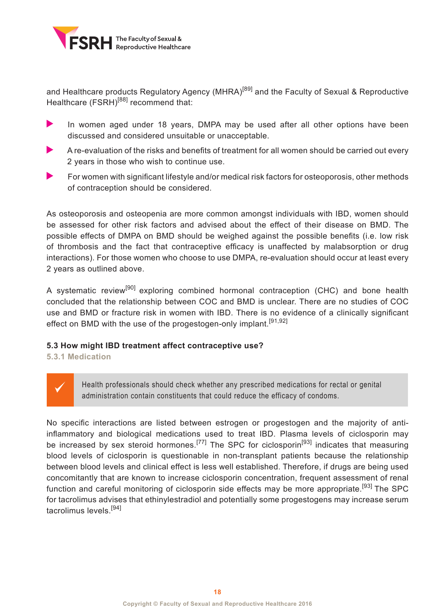<span id="page-20-0"></span>

and Healthcare products Regulatory Agency (MHRA)<sup>[89]</sup> and the Faculty of Sexual & Reproductive Healthcare (FSRH)<sup>[88]</sup> recommend that:

- $\blacktriangleright$  In women aged under 18 years, DMPA may be used after all other options have been discussed and considered unsuitable or unacceptable.
- Þ A re-evaluation of the risks and benefits of treatment for all women should be carried out every 2 years in those who wish to continue use.
- $\blacktriangleright$ For women with significant lifestyle and/or medical risk factors for osteoporosis, other methods of contraception should be considered.

As osteoporosis and osteopenia are more common amongst individuals with IBD, women should be assessed for other risk factors and advised about the effect of their disease on BMD. The possible effects of DMPA on BMD should be weighed against the possible benefits (i.e. low risk of thrombosis and the fact that contraceptive efficacy is unaffected by malabsorption or drug interactions). For those women who choose to use DMPA, re-evaluation should occur at least every 2 years as outlined above.

A systematic review<sup>[90]</sup> exploring combined hormonal contraception (CHC) and bone health concluded that the relationship between COC and BMD is unclear. There are no studies of COC use and BMD or fracture risk in women with IBD. There is no evidence of a clinically significant effect on BMD with the use of the progestogen-only implant.<sup>[91,92]</sup>

#### **5.3 How might IBD treatment affect contraceptive use?**

**5.3.1 Medication**

Health professionals should check whether any prescribed medications for rectal or genital administration contain constituents that could reduce the efficacy of condoms.

No specific interactions are listed between estrogen or progestogen and the majority of antiinflammatory and biological medications used to treat IBD. Plasma levels of ciclosporin may be increased by sex steroid hormones.<sup>[77]</sup> The SPC for ciclosporin<sup>[93]</sup> indicates that measuring blood levels of ciclosporin is questionable in non-transplant patients because the relationship between blood levels and clinical effect is less well established. Therefore, if drugs are being used concomitantly that are known to increase ciclosporin concentration, frequent assessment of renal function and careful monitoring of ciclosporin side effects may be more appropriate.<sup>[93]</sup> The SPC for tacrolimus advises that ethinylestradiol and potentially some progestogens may increase serum tacrolimus levels.[94]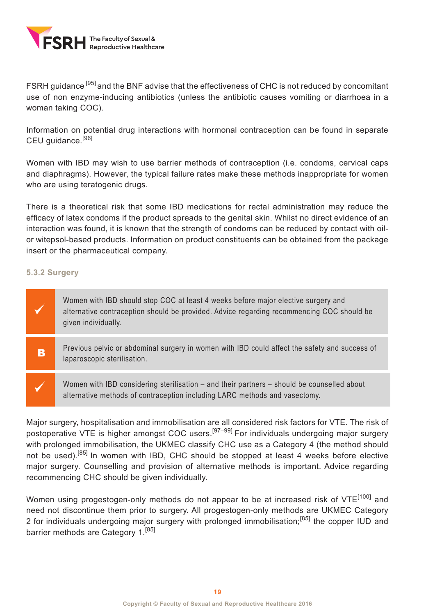

FSRH guidance [95] and the BNF advise that the effectiveness of CHC is not reduced by concomitant use of non enzyme-inducing antibiotics (unless the antibiotic causes vomiting or diarrhoea in a woman taking COC).

Information on potential drug interactions with hormonal contraception can be found in separate CEU quidance.<sup>[96]</sup>

Women with IBD may wish to use barrier methods of contraception (i.e. condoms, cervical caps and diaphragms). However, the typical failure rates make these methods inappropriate for women who are using teratogenic drugs.

There is a theoretical risk that some IBD medications for rectal administration may reduce the efficacy of latex condoms if the product spreads to the genital skin. Whilst no direct evidence of an interaction was found, it is known that the strength of condoms can be reduced by contact with oilor witepsol-based products. Information on product constituents can be obtained from the package insert or the pharmaceutical company.

#### **5.3.2 Surgery**

|   | Women with IBD should stop COC at least 4 weeks before major elective surgery and<br>alternative contraception should be provided. Advice regarding recommencing COC should be<br>given individually. |
|---|-------------------------------------------------------------------------------------------------------------------------------------------------------------------------------------------------------|
| B | Previous pelvic or abdominal surgery in women with IBD could affect the safety and success of<br>laparoscopic sterilisation.                                                                          |
|   | Women with IBD considering sterilisation – and their partners – should be counselled about<br>alternative methods of contraception including LARC methods and vasectomy.                              |

Major surgery, hospitalisation and immobilisation are all considered risk factors for VTE. The risk of postoperative VTE is higher amongst COC users.<sup>[97–99]</sup> For individuals undergoing major surgery with prolonged immobilisation, the UKMEC classify CHC use as a Category 4 (the method should not be used).<sup>[85]</sup> In women with IBD, CHC should be stopped at least 4 weeks before elective major surgery. Counselling and provision of alternative methods is important. Advice regarding recommencing CHC should be given individually.

Women using progestogen-only methods do not appear to be at increased risk of VTE<sup>[100]</sup> and need not discontinue them prior to surgery. All progestogen-only methods are UKMEC Category 2 for individuals undergoing major surgery with prolonged immobilisation;[85] the copper IUD and barrier methods are Category 1.<sup>[85]</sup>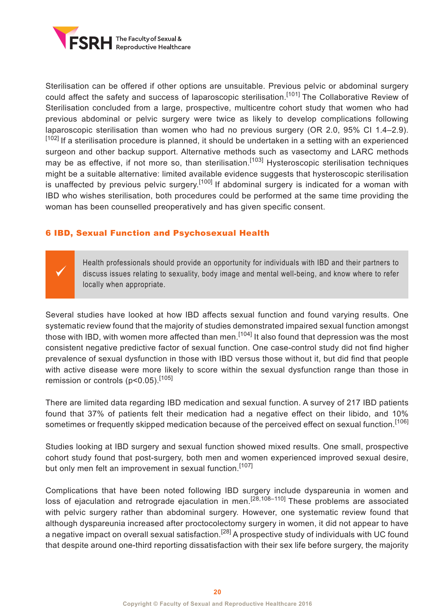<span id="page-22-0"></span>

Sterilisation can be offered if other options are unsuitable. Previous pelvic or abdominal surgery could affect the safety and success of laparoscopic sterilisation.<sup>[101]</sup> The Collaborative Review of Sterilisation concluded from a large, prospective, multicentre cohort study that women who had previous abdominal or pelvic surgery were twice as likely to develop complications following laparoscopic sterilisation than women who had no previous surgery (OR 2.0, 95% CI 1.4–2.9). [102] If a sterilisation procedure is planned, it should be undertaken in a setting with an experienced surgeon and other backup support. Alternative methods such as vasectomy and LARC methods may be as effective, if not more so, than sterilisation.<sup>[103]</sup> Hysteroscopic sterilisation techniques might be a suitable alternative: limited available evidence suggests that hysteroscopic sterilisation is unaffected by previous pelvic surgery.<sup>[100]</sup> If abdominal surgery is indicated for a woman with IBD who wishes sterilisation, both procedures could be performed at the same time providing the woman has been counselled preoperatively and has given specific consent.

#### 6 IBD, Sexual Function and Psychosexual Health

Health professionals should provide an opportunity for individuals with IBD and their partners to discuss issues relating to sexuality, body image and mental well-being, and know where to refer locally when appropriate.

Several studies have looked at how IBD affects sexual function and found varying results. One systematic review found that the majority of studies demonstrated impaired sexual function amongst those with IBD, with women more affected than men.<sup>[104]</sup> It also found that depression was the most consistent negative predictive factor of sexual function. One case-control study did not find higher prevalence of sexual dysfunction in those with IBD versus those without it, but did find that people with active disease were more likely to score within the sexual dysfunction range than those in remission or controls  $(p<0.05)$ .<sup>[105]</sup>

There are limited data regarding IBD medication and sexual function. A survey of 217 IBD patients found that 37% of patients felt their medication had a negative effect on their libido, and 10% sometimes or frequently skipped medication because of the perceived effect on sexual function.<sup>[106]</sup>

Studies looking at IBD surgery and sexual function showed mixed results. One small, prospective cohort study found that post-surgery, both men and women experienced improved sexual desire, but only men felt an improvement in sexual function.<sup>[107]</sup>

Complications that have been noted following IBD surgery include dyspareunia in women and loss of ejaculation and retrograde ejaculation in men.<sup>[28,108–110]</sup> These problems are associated with pelvic surgery rather than abdominal surgery. However, one systematic review found that although dyspareunia increased after proctocolectomy surgery in women, it did not appear to have a negative impact on overall sexual satisfaction.<sup>[28]</sup> A prospective study of individuals with UC found that despite around one-third reporting dissatisfaction with their sex life before surgery, the majority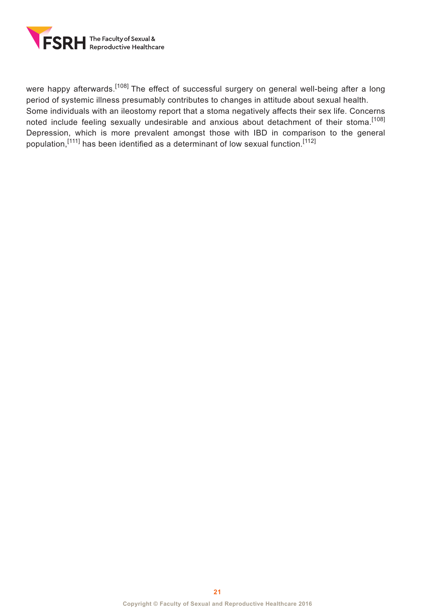

were happy afterwards.<sup>[108]</sup> The effect of successful surgery on general well-being after a long period of systemic illness presumably contributes to changes in attitude about sexual health. Some individuals with an ileostomy report that a stoma negatively affects their sex life. Concerns noted include feeling sexually undesirable and anxious about detachment of their stoma.<sup>[108]</sup> Depression, which is more prevalent amongst those with IBD in comparison to the general population,<sup>[111]</sup> has been identified as a determinant of low sexual function.<sup>[112]</sup>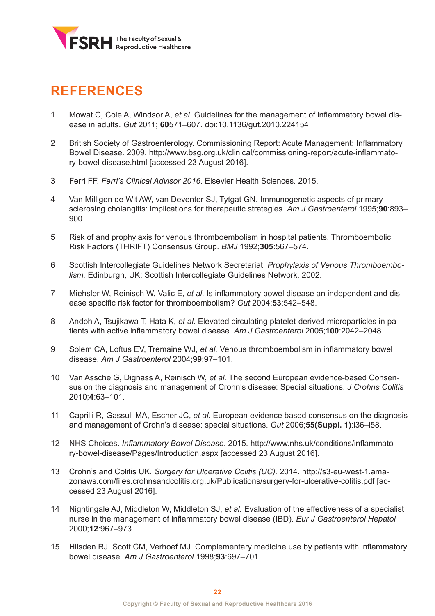<span id="page-24-0"></span>

### **REFERENCES**

- 1 Mowat C, Cole A, Windsor A, *et al.* Guidelines for the management of inflammatory bowel disease in adults. *Gut* 2011; **60**571–607. doi:10.1136/gut.2010.224154
- 2 British Society of Gastroenterology. Commissioning Report: Acute Management: Inflammatory [Bowel Disease. 2009. http://www.bsg.org.uk/clinical/commissioning-report/acute-inflammato](http://www.bsg.org.uk/clinical/commissioning-report/acute-inflammatory-bowel-disease.html)ry-bowel-disease.html [accessed 23 August 2016].
- 3 Ferri FF. *Ferri's Clinical Advisor 2016*. Elsevier Health Sciences. 2015.
- 4 Van Milligen de Wit AW, van Deventer SJ, Tytgat GN. Immunogenetic aspects of primary sclerosing cholangitis: implications for therapeutic strategies. *Am J Gastroenterol* 1995;**90**:893– 900.
- 5 Risk of and prophylaxis for venous thromboembolism in hospital patients. Thromboembolic Risk Factors (THRIFT) Consensus Group. *BMJ* 1992;**305**:567–574.
- 6 Scottish Intercollegiate Guidelines Network Secretariat. *Prophylaxis of Venous Thromboembolism.* Edinburgh, UK: Scottish Intercollegiate Guidelines Network, 2002.
- 7 Miehsler W, Reinisch W, Valic E, *et al.* Is inflammatory bowel disease an independent and disease specific risk factor for thromboembolism? *Gut* 2004;**53**:542–548.
- 8 Andoh A, Tsujikawa T, Hata K, *et al.* Elevated circulating platelet-derived microparticles in patients with active inflammatory bowel disease. *Am J Gastroenterol* 2005;**100**:2042–2048.
- 9 Solem CA, Loftus EV, Tremaine WJ, *et al.* Venous thromboembolism in inflammatory bowel disease. *Am J Gastroenterol* 2004;**99**:97–101.
- 10 Van Assche G, Dignass A, Reinisch W, *et al.* The second European evidence-based Consensus on the diagnosis and management of Crohn's disease: Special situations. *J Crohns Colitis* 2010;**4**:63–101.
- 11 Caprilli R, Gassull MA, Escher JC, *et al.* European evidence based consensus on the diagnosis and management of Crohn's disease: special situations. *Gut* 2006;**55(Suppl. 1)**:i36–i58.
- 12 NHS Choices. *Inflammatory Bowel Disease*. 2015. http://www.nhs.uk/conditions/inflammato[ry-bowel-disease/Pages/Introduction.aspx \[accessed 23 August 2016\].](http://www.nhs.uk/conditions/inflammatory-bowel-disease/Pages/Introduction.aspx)
- 13 Crohn's and Colitis UK. *Surgery for Ulcerative Colitis (UC).* 2014. http://s3-eu-west-1.ama[zonaws.com/files.crohnsandcolitis.org.uk/Publications/surgery-for-ulcerative-colitis.pdf \[ac](http://s3-eu-west-1.amazonaws.com/files.crohnsandcolitis.org.uk/Publications/surgery-for-ulcerative-colitis.pdf)cessed 23 August 2016].
- 14 Nightingale AJ, Middleton W, Middleton SJ, *et al.* Evaluation of the effectiveness of a specialist nurse in the management of inflammatory bowel disease (IBD). *Eur J Gastroenterol Hepatol* 2000;**12**:967–973.
- 15 Hilsden RJ, Scott CM, Verhoef MJ. Complementary medicine use by patients with inflammatory bowel disease. *Am J Gastroenterol* 1998;**93**:697–701.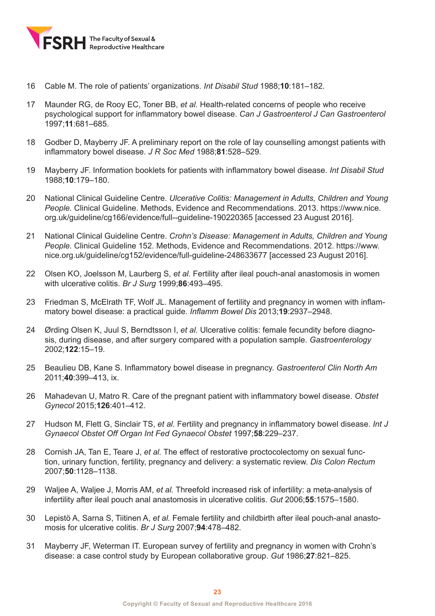

- 16 Cable M. The role of patients' organizations. *Int Disabil Stud* 1988;**10**:181–182.
- 17 Maunder RG, de Rooy EC, Toner BB, *et al.* Health-related concerns of people who receive psychological support for inflammatory bowel disease. *Can J Gastroenterol J Can Gastroenterol* 1997;**11**:681–685.
- 18 Godber D, Mayberry JF. A preliminary report on the role of lay counselling amongst patients with inflammatory bowel disease. *J R Soc Med* 1988;**81**:528–529.
- 19 Mayberry JF. Information booklets for patients with inflammatory bowel disease. *Int Disabil Stud* 1988;**10**:179–180.
- 20 National Clinical Guideline Centre. *Ulcerative Colitis: Management in Adults, Children and Young People.* Clinical Guideline. Methods, Evidence and Recommendations. 2013. [https://www.nice.](https://www.nice.org.uk/guideline/cg166/evidence/full--guideline-190220365) [org.uk/guideline/cg166/evidence/full--guideline-190220365 \[a](https://www.nice.org.uk/guideline/cg166/evidence/full--guideline-190220365)ccessed 23 August 2016].
- 21 National Clinical Guideline Centre. *Crohn's Disease: Management in Adults, Children and Young People.* Clinical Guideline 152. Methods, Evidence and Recommendations. 2012. [https://www.](https://www.nice.org.uk/guideline/cg152/evidence/full-guideline-248633677) [nice.org.uk/guideline/cg152/evidence/full-guideline-248633677 \[a](https://www.nice.org.uk/guideline/cg152/evidence/full-guideline-248633677)ccessed 23 August 2016].
- 22 Olsen KO, Joelsson M, Laurberg S, *et al.* Fertility after ileal pouch-anal anastomosis in women with ulcerative colitis. *Br J Surg* 1999;**86**:493–495.
- 23 Friedman S, McElrath TF, Wolf JL. Management of fertility and pregnancy in women with inflammatory bowel disease: a practical guide. *Inflamm Bowel Dis* 2013;**19**:2937–2948.
- 24 Ørding Olsen K, Juul S, Berndtsson I, *et al.* Ulcerative colitis: female fecundity before diagnosis, during disease, and after surgery compared with a population sample. *Gastroenterology* 2002;**122**:15–19.
- 25 Beaulieu DB, Kane S. Inflammatory bowel disease in pregnancy. *Gastroenterol Clin North Am* 2011;**40**:399–413, ix.
- 26 Mahadevan U, Matro R. Care of the pregnant patient with inflammatory bowel disease. *Obstet Gynecol* 2015;**126**:401–412.
- 27 Hudson M, Flett G, Sinclair TS, *et al.* Fertility and pregnancy in inflammatory bowel disease. *Int J Gynaecol Obstet Off Organ Int Fed Gynaecol Obstet* 1997;**58**:229–237.
- 28 Cornish JA, Tan E, Teare J, *et al.* The effect of restorative proctocolectomy on sexual function, urinary function, fertility, pregnancy and delivery: a systematic review. *Dis Colon Rectum* 2007;**50**:1128–1138.
- 29 Waljee A, Waljee J, Morris AM, *et al.* Threefold increased risk of infertility: a meta-analysis of infertility after ileal pouch anal anastomosis in ulcerative colitis. *Gut* 2006;**55**:1575–1580.
- 30 Lepistö A, Sarna S, Tiitinen A, *et al.* Female fertility and childbirth after ileal pouch-anal anastomosis for ulcerative colitis. *Br J Surg* 2007;**94**:478–482.
- 31 Mayberry JF, Weterman IT. European survey of fertility and pregnancy in women with Crohn's disease: a case control study by European collaborative group. *Gut* 1986;**27**:821–825.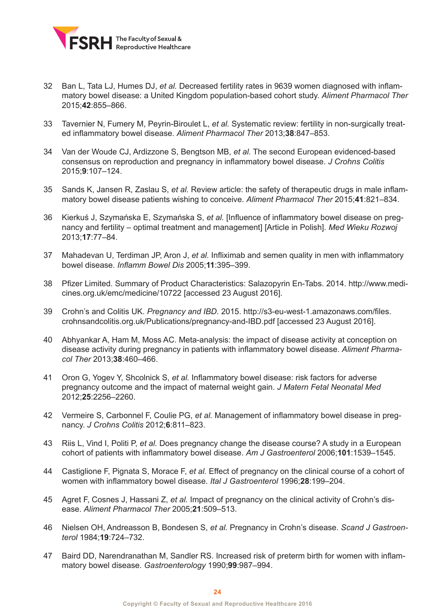

- 32 Ban L, Tata LJ, Humes DJ, *et al.* Decreased fertility rates in 9639 women diagnosed with inflammatory bowel disease: a United Kingdom population-based cohort study. *Aliment Pharmacol Ther* 2015;**42**:855–866.
- 33 Tavernier N, Fumery M, Peyrin-Biroulet L, *et al.* Systematic review: fertility in non-surgically treated inflammatory bowel disease. *Aliment Pharmacol Ther* 2013;**38**:847–853.
- 34 Van der Woude CJ, Ardizzone S, Bengtson MB, *et al.* The second European evidenced-based consensus on reproduction and pregnancy in inflammatory bowel disease. *J Crohns Colitis* 2015;**9**:107–124.
- 35 Sands K, Jansen R, Zaslau S, *et al.* Review article: the safety of therapeutic drugs in male inflammatory bowel disease patients wishing to conceive. *Aliment Pharmacol Ther* 2015;**41**:821–834.
- 36 Kierkuś J, Szymańska E, Szymańska S, *et al.* [Influence of inflammatory bowel disease on pregnancy and fertility – optimal treatment and management] [Article in Polish]. *Med Wieku Rozwoj* 2013;**17**:77–84.
- 37 Mahadevan U, Terdiman JP, Aron J, *et al.* Infliximab and semen quality in men with inflammatory bowel disease. *Inflamm Bowel Dis* 2005;**11**:395–399.
- 38 [Pfizer Limited. Summary of Product Characteristics: Salazopyrin En-Tabs. 2014. http://www.medi](http://www.medicines.org.uk/emc/medicine/10722)cines.org.uk/emc/medicine/10722 [accessed 23 August 2016].
- 39 Crohn's and Colitis UK. *Pregnancy and IBD.* 2015. [http://s3-eu-west-1.amazonaws.com/files.](http://s3-eu-west-1.amazonaws.com/files.crohnsandcolitis.org.uk/Publications/pregnancy-and-IBD.pdf) [crohnsandcolitis.org.uk/Publications/pregnancy-and-IBD.pdf \[a](http://s3-eu-west-1.amazonaws.com/files.crohnsandcolitis.org.uk/Publications/pregnancy-and-IBD.pdf)ccessed 23 August 2016].
- 40 Abhyankar A, Ham M, Moss AC. Meta-analysis: the impact of disease activity at conception on disease activity during pregnancy in patients with inflammatory bowel disease. *Aliment Pharmacol Ther* 2013;**38**:460–466.
- 41 Oron G, Yogev Y, Shcolnick S, *et al.* Inflammatory bowel disease: risk factors for adverse pregnancy outcome and the impact of maternal weight gain. *J Matern Fetal Neonatal Med*  2012;**25**:2256–2260.
- 42 Vermeire S, Carbonnel F, Coulie PG, *et al.* Management of inflammatory bowel disease in pregnancy. *J Crohns Colitis* 2012;**6**:811–823.
- 43 Riis L, Vind I, Politi P, *et al.* Does pregnancy change the disease course? A study in a European cohort of patients with inflammatory bowel disease. *Am J Gastroenterol* 2006;**101**:1539–1545.
- 44 Castiglione F, Pignata S, Morace F, *et al.* Effect of pregnancy on the clinical course of a cohort of women with inflammatory bowel disease. *Ital J Gastroenterol* 1996;**28**:199–204.
- 45 Agret F, Cosnes J, Hassani Z, *et al.* Impact of pregnancy on the clinical activity of Crohn's disease. *Aliment Pharmacol Ther* 2005;**21**:509–513.
- 46 Nielsen OH, Andreasson B, Bondesen S, *et al.* Pregnancy in Crohn's disease. *Scand J Gastroenterol* 1984;**19**:724–732.
- 47 Baird DD, Narendranathan M, Sandler RS. Increased risk of preterm birth for women with inflammatory bowel disease. *Gastroenterology* 1990;**99**:987–994.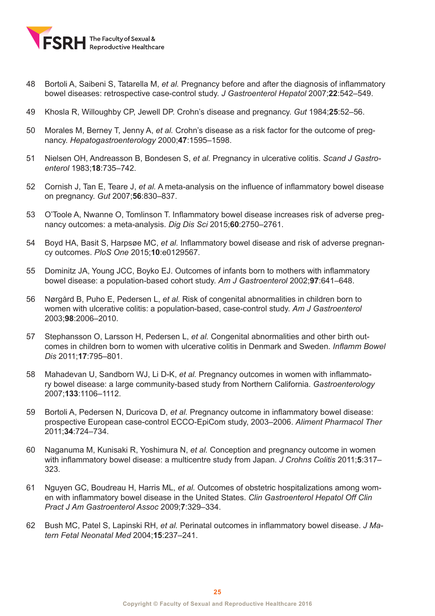

- 48 Bortoli A, Saibeni S, Tatarella M, *et al.* Pregnancy before and after the diagnosis of inflammatory bowel diseases: retrospective case-control study. *J Gastroenterol Hepatol* 2007;**22**:542–549.
- 49 Khosla R, Willoughby CP, Jewell DP. Crohn's disease and pregnancy. *Gut* 1984;**25**:52–56.
- 50 Morales M, Berney T, Jenny A, *et al.* Crohn's disease as a risk factor for the outcome of pregnancy. *Hepatogastroenterology* 2000;**47**:1595–1598.
- 51 Nielsen OH, Andreasson B, Bondesen S, *et al.* Pregnancy in ulcerative colitis. *Scand J Gastroenterol* 1983;**18**:735–742.
- 52 Cornish J, Tan E, Teare J, *et al.* A meta-analysis on the influence of inflammatory bowel disease on pregnancy. *Gut* 2007;**56**:830–837.
- 53 O'Toole A, Nwanne O, Tomlinson T. Inflammatory bowel disease increases risk of adverse pregnancy outcomes: a meta-analysis. *Dig Dis Sci* 2015;**60**:2750–2761.
- 54 Boyd HA, Basit S, Harpsøe MC, *et al.* Inflammatory bowel disease and risk of adverse pregnancy outcomes. *PloS One* 2015;**10**:e0129567.
- 55 Dominitz JA, Young JCC, Boyko EJ. Outcomes of infants born to mothers with inflammatory bowel disease: a population-based cohort study. *Am J Gastroenterol* 2002;**97**:641–648.
- 56 Nørgård B, Puho E, Pedersen L, *et al.* Risk of congenital abnormalities in children born to women with ulcerative colitis: a population-based, case-control study. *Am J Gastroenterol* 2003;**98**:2006–2010.
- 57 Stephansson O, Larsson H, Pedersen L, *et al.* Congenital abnormalities and other birth outcomes in children born to women with ulcerative colitis in Denmark and Sweden. *Inflamm Bowel Dis* 2011;**17**:795–801.
- 58 Mahadevan U, Sandborn WJ, Li D-K, *et al.* Pregnancy outcomes in women with inflammatory bowel disease: a large community-based study from Northern California. *Gastroenterology* 2007;**133**:1106–1112.
- 59 Bortoli A, Pedersen N, Duricova D, *et al.* Pregnancy outcome in inflammatory bowel disease: prospective European case-control ECCO-EpiCom study, 2003–2006. *Aliment Pharmacol Ther* 2011;**34**:724–734.
- 60 Naganuma M, Kunisaki R, Yoshimura N, *et al.* Conception and pregnancy outcome in women with inflammatory bowel disease: a multicentre study from Japan. *J Crohns Colitis* 2011;**5**:317– 323.
- 61 Nguyen GC, Boudreau H, Harris ML, *et al.* Outcomes of obstetric hospitalizations among women with inflammatory bowel disease in the United States. *Clin Gastroenterol Hepatol Off Clin Pract J Am Gastroenterol Assoc* 2009;**7**:329–334.
- 62 Bush MC, Patel S, Lapinski RH, *et al.* Perinatal outcomes in inflammatory bowel disease. *J Matern Fetal Neonatal Med* 2004;**15**:237–241.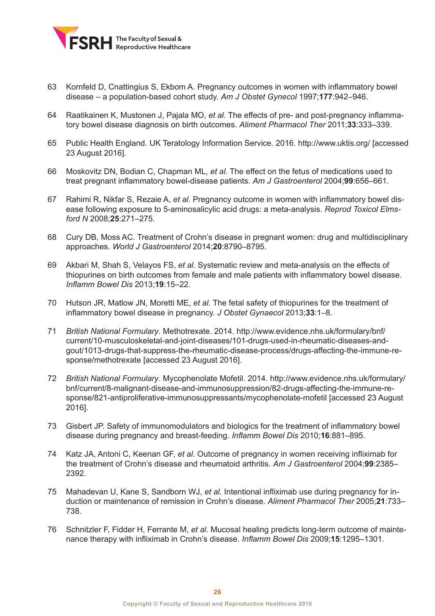

- 63 Kornfeld D, Cnattingius S, Ekbom A. Pregnancy outcomes in women with inflammatory bowel disease – a population-based cohort study. *Am J Obstet Gynecol* 1997;**177**:942–946.
- 64 Raatikainen K, Mustonen J, Pajala MO, *et al.* The effects of pre- and post-pregnancy inflammatory bowel disease diagnosis on birth outcomes. *Aliment Pharmacol Ther* 2011;**33**:333–339.
- 65 Public Health England. UK Teratology Information Service. 2016. [http://www.uktis.org/ \[a](http://www.uktis.org/)ccessed 23 August 2016].
- 66 Moskovitz DN, Bodian C, Chapman ML, *et al.* The effect on the fetus of medications used to treat pregnant inflammatory bowel-disease patients. *Am J Gastroenterol* 2004;**99**:656–661.
- 67 Rahimi R, Nikfar S, Rezaie A, *et al.* Pregnancy outcome in women with inflammatory bowel disease following exposure to 5-aminosalicylic acid drugs: a meta-analysis. *Reprod Toxicol Elmsford N* 2008;**25**:271–275.
- 68 Cury DB, Moss AC. Treatment of Crohn's disease in pregnant women: drug and multidisciplinary approaches. *World J Gastroenterol* 2014;**20**:8790–8795.
- 69 Akbari M, Shah S, Velayos FS, *et al.* Systematic review and meta-analysis on the effects of thiopurines on birth outcomes from female and male patients with inflammatory bowel disease. *Inflamm Bowel Dis* 2013;**19**:15–22.
- 70 Hutson JR, Matlow JN, Moretti ME, *et al.* The fetal safety of thiopurines for the treatment of inflammatory bowel disease in pregnancy. *J Obstet Gynaecol* 2013;**33**:1–8.
- 71 *British National Formulary*. Methotrexate. 2014. [http://www.evidence.nhs.uk/formulary/bnf/](http://www.evidence.nhs.uk/formulary/bnf/current/10-musculoskeletal-and-joint-diseases/101-drugs-used-in-rheumatic-diseases-and-gout/1013-drugs-that-suppress-the-rheumatic-disease-process/drugs-affecting-the-immune-re�sponse/methotrexate) [current/10-musculoskeletal-and-joint-diseases/101-drugs-used-in-rheumatic-diseases-and](http://www.evidence.nhs.uk/formulary/bnf/current/10-musculoskeletal-and-joint-diseases/101-drugs-used-in-rheumatic-diseases-and-gout/1013-drugs-that-suppress-the-rheumatic-disease-process/drugs-affecting-the-immune-re�sponse/methotrexate)[gout/1013-drugs-that-suppress-the-rheumatic-disease-process/drugs-affecting-the-immune-re](http://www.evidence.nhs.uk/formulary/bnf/current/10-musculoskeletal-and-joint-diseases/101-drugs-used-in-rheumatic-diseases-and-gout/1013-drugs-that-suppress-the-rheumatic-disease-process/drugs-affecting-the-immune-re�sponse/methotrexate)sponse/methotrexate [accessed 23 August 2016].
- 72 *British National Formulary*. Mycophenolate Mofetil. 2014. [http://www.evidence.nhs.uk/formulary/](http://www.evidence.nhs.uk/formulary/bnf/current/8-malignant-disease-and-immunosuppression/82-drugs-affecting-the-immune-re�sponse/821-antiproliferative-immunosuppressants/mycophenolate-mofetil) [bnf/current/8-malignant-disease-and-immunosuppression/82-drugs-affecting-the-immune-re](http://www.evidence.nhs.uk/formulary/bnf/current/8-malignant-disease-and-immunosuppression/82-drugs-affecting-the-immune-re�sponse/821-antiproliferative-immunosuppressants/mycophenolate-mofetil)[sponse/821-antiproliferative-immunosuppressants/mycophenolate-mofetil \[accessed 23 August](http://www.evidence.nhs.uk/formulary/bnf/current/8-malignant-disease-and-immunosuppression/82-drugs-affecting-the-immune-re�sponse/821-antiproliferative-immunosuppressants/mycophenolate-mofetil) 2016].
- 73 Gisbert JP. Safety of immunomodulators and biologics for the treatment of inflammatory bowel disease during pregnancy and breast-feeding. *Inflamm Bowel Dis* 2010;**16**:881–895.
- 74 Katz JA, Antoni C, Keenan GF, *et al.* Outcome of pregnancy in women receiving infliximab for the treatment of Crohn's disease and rheumatoid arthritis. *Am J Gastroenterol* 2004;**99**:2385– 2392.
- 75 Mahadevan U, Kane S, Sandborn WJ, *et al.* Intentional infliximab use during pregnancy for induction or maintenance of remission in Crohn's disease. *Aliment Pharmacol Ther* 2005;**21**:733– 738.
- 76 Schnitzler F, Fidder H, Ferrante M, *et al.* Mucosal healing predicts long-term outcome of maintenance therapy with infliximab in Crohn's disease. *Inflamm Bowel Dis* 2009;**15**:1295–1301.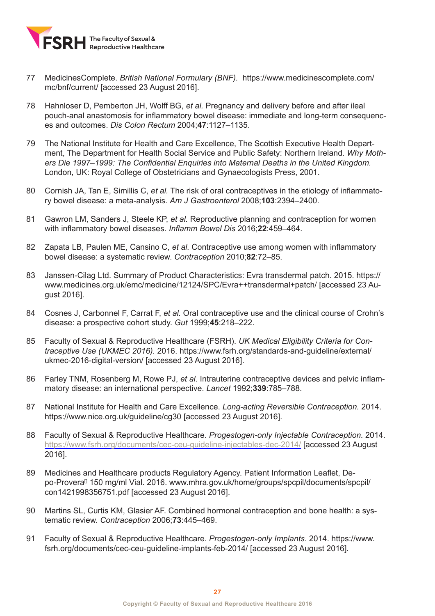

- 77 MedicinesComplete. *British National Formulary (BNF).* [https://www.medicinescomplete.com/](https://www.medicinescomplete.com/mc/bnf/current/) [mc/bnf/current/ \[a](https://www.medicinescomplete.com/mc/bnf/current/)ccessed 23 August 2016].
- 78 Hahnloser D, Pemberton JH, Wolff BG, *et al.* Pregnancy and delivery before and after ileal pouch-anal anastomosis for inflammatory bowel disease: immediate and long-term consequences and outcomes. *Dis Colon Rectum* 2004;**47**:1127–1135.
- 79 The National Institute for Health and Care Excellence, The Scottish Executive Health Department, The Department for Health Social Service and Public Safety: Northern Ireland. *Why Mothers Die 1997–1999: The Confidential Enquiries into Maternal Deaths in the United Kingdom.*  London, UK: Royal College of Obstetricians and Gynaecologists Press, 2001.
- 80 Cornish JA, Tan E, Simillis C, *et al.* The risk of oral contraceptives in the etiology of inflammatory bowel disease: a meta-analysis. *Am J Gastroenterol* 2008;**103**:2394–2400.
- 81 Gawron LM, Sanders J, Steele KP, *et al.* Reproductive planning and contraception for women with inflammatory bowel diseases. *Inflamm Bowel Dis* 2016;**22**:459–464.
- 82 Zapata LB, Paulen ME, Cansino C, *et al.* Contraceptive use among women with inflammatory bowel disease: a systematic review. *Contraception* 2010;**82**:72–85.
- 83 Janssen-Cilag Ltd. Summary of Product Characteristics: Evra transdermal patch. 2015. [https://](https://www.medicines.org.uk/emc/medicine/12124/SPC/Evra++transdermal+patch/) [www.medicines.org.uk/emc/medicine/12124/SPC/Evra++transdermal+patch/ \[a](https://www.medicines.org.uk/emc/medicine/12124/SPC/Evra++transdermal+patch/)ccessed 23 August 2016].
- 84 Cosnes J, Carbonnel F, Carrat F, *et al.* Oral contraceptive use and the clinical course of Crohn's disease: a prospective cohort study. *Gut* 1999;**45**:218–222.
- 85 Faculty of Sexual & Reproductive Healthcare (FSRH). *UK Medical Eligibility Criteria for Contraceptive Use (UKMEC 2016).* 2016. [https://www.fsrh.org/standards-and-guideline/external/](https://www.fsrh.org/standards-and-guideline/external/ukmec-2016-digital-version/) [ukmec-2016-digital-version/ \[a](https://www.fsrh.org/standards-and-guideline/external/ukmec-2016-digital-version/)ccessed 23 August 2016].
- 86 Farley TNM, Rosenberg M, Rowe PJ, *et al.* Intrauterine contraceptive devices and pelvic inflammatory disease: an international perspective. *Lancet* 1992;**339**:785–788.
- 87 National Institute for Health and Care Excellence. *Long-acting Reversible Contraception.* 2014. [https://www.nice.org.uk/guideline/cg30 \[a](https://www.nice.org.uk/guideline/cg30)ccessed 23 August 2016].
- 88 Faculty of Sexual & Reproductive Healthcare. *Progestogen-only Injectable Contraception.* 2014. <https://www.fsrh.org/documents/cec-ceu-guideline-injectables-dec-2014/> [accessed 23 August 2016].
- 89 Medicines and Healthcare products Regulatory Agency. Patient Information Leaflet, Depo-Provera<sup>®</sup> 150 mg/ml Vial. 2016. [www.mhra.gov.uk/home/groups/spcpil/documents/spcpil/](http://www.mhra.gov.uk/home/groups/spcpil/documents/spcpil/con1421998356751.pdf) [con1421998356751.pdf \[a](http://www.mhra.gov.uk/home/groups/spcpil/documents/spcpil/con1421998356751.pdf)ccessed 23 August 2016].
- 90 Martins SL, Curtis KM, Glasier AF. Combined hormonal contraception and bone health: a systematic review. *Contraception* 2006;**73**:445–469.
- 91 Faculty of Sexual & Reproductive Healthcare. *Progestogen-only Implants*. 2014. [https://www.](https://www.fsrh.org/documents/cec-ceu-guideline-implants-feb-2014/) [fsrh.org/documents/cec-ceu-guideline-implants-feb-2014/ \[a](https://www.fsrh.org/documents/cec-ceu-guideline-implants-feb-2014/)ccessed 23 August 2016].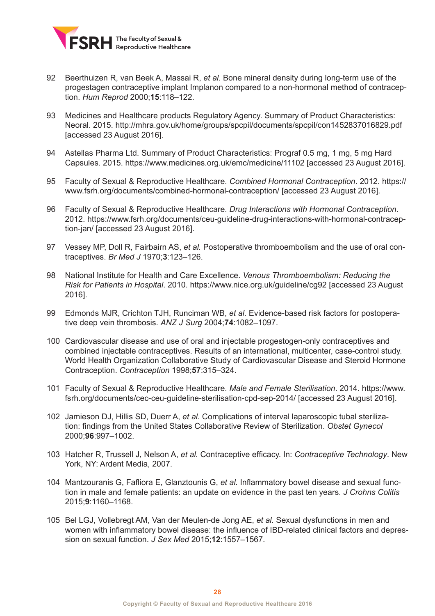

- 92 Beerthuizen R, van Beek A, Massai R, *et al.* Bone mineral density during long-term use of the progestagen contraceptive implant Implanon compared to a non-hormonal method of contraception. *Hum Reprod* 2000;**15**:118–122.
- 93 Medicines and Healthcare products Regulatory Agency. Summary of Product Characteristics: Neoral. 2015.<http://mhra.gov.uk/home/groups/spcpil/documents/spcpil/con1452837016829.pdf> [accessed 23 August 2016].
- 94 Astellas Pharma Ltd. Summary of Product Characteristics: Prograf 0.5 mg, 1 mg, 5 mg Hard Capsules. 2015. [https://www.medicines.org.uk/emc/medicine/11102 \[a](https://www.medicines.org.uk/emc/medicine/11102)ccessed 23 August 2016].
- 95 Faculty of Sexual & Reproductive Healthcare. *Combined Hormonal Contraception*. 2012. [https://](https://www.fsrh.org/documents/combined-hormonal-contraception/) [www.fsrh.org/documents/combined-hormonal-contraception/ \[a](https://www.fsrh.org/documents/combined-hormonal-contraception/)ccessed 23 August 2016].
- 96 Faculty of Sexual & Reproductive Healthcare. *Drug Interactions with Hormonal Contraception.* [2012. https://www.fsrh.org/documents/ceu-guideline-drug-interactions-with-hormonal-contracep](https://www.fsrh.org/documents/ceu-guideline-drug-interactions-with-hormonal-contraception-jan/)tion-jan/ [accessed 23 August 2016].
- 97 Vessey MP, Doll R, Fairbairn AS, *et al.* Postoperative thromboembolism and the use of oral contraceptives. *Br Med J* 1970;**3**:123–126.
- 98 National Institute for Health and Care Excellence. *Venous Thromboembolism: Reducing the Risk for Patients in Hospital*. 2010. [https://www.nice.org.uk/guideline/cg92 \[a](https://www.nice.org.uk/guideline/cg92)ccessed 23 August 2016].
- 99 Edmonds MJR, Crichton TJH, Runciman WB, *et al.* Evidence-based risk factors for postoperative deep vein thrombosis. *ANZ J Surg* 2004;**74**:1082–1097.
- 100 Cardiovascular disease and use of oral and injectable progestogen-only contraceptives and combined injectable contraceptives. Results of an international, multicenter, case-control study. World Health Organization Collaborative Study of Cardiovascular Disease and Steroid Hormone Contraception. *Contraception* 1998;**57**:315–324.
- 101 Faculty of Sexual & Reproductive Healthcare. *Male and Female Sterilisation*. 2014. [https://www.](https://www.fsrh.org/documents/cec-ceu-guideline-sterilisation-cpd-sep-2014/) [fsrh.org/documents/cec-ceu-guideline-sterilisation-cpd-sep-2014/ \[a](https://www.fsrh.org/documents/cec-ceu-guideline-sterilisation-cpd-sep-2014/)ccessed 23 August 2016].
- 102 Jamieson DJ, Hillis SD, Duerr A, *et al.* Complications of interval laparoscopic tubal sterilization: findings from the United States Collaborative Review of Sterilization. *Obstet Gynecol* 2000;**96**:997–1002.
- 103 Hatcher R, Trussell J, Nelson A, *et al.* Contraceptive efficacy. In: *Contraceptive Technology*. New York, NY: Ardent Media, 2007.
- 104 Mantzouranis G, Fafliora E, Glanztounis G, *et al.* Inflammatory bowel disease and sexual function in male and female patients: an update on evidence in the past ten years. *J Crohns Colitis* 2015;**9**:1160–1168.
- 105 Bel LGJ, Vollebregt AM, Van der Meulen-de Jong AE, *et al.* Sexual dysfunctions in men and women with inflammatory bowel disease: the influence of IBD-related clinical factors and depression on sexual function. *J Sex Med* 2015;**12**:1557–1567.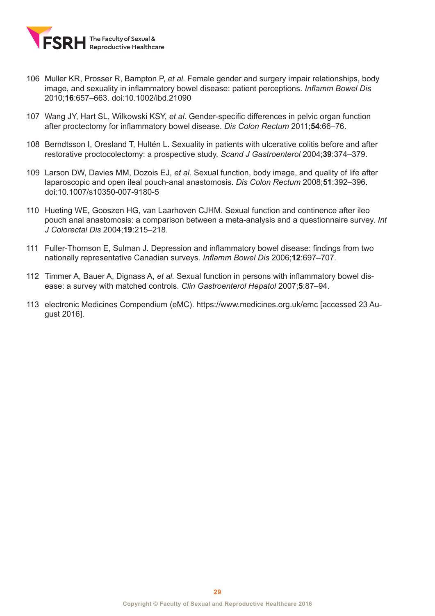

- 106 Muller KR, Prosser R, Bampton P, *et al.* Female gender and surgery impair relationships, body image, and sexuality in inflammatory bowel disease: patient perceptions. *Inflamm Bowel Dis* 2010;**16**:657–663. doi:10.1002/ibd.21090
- 107 Wang JY, Hart SL, Wilkowski KSY, *et al.* Gender-specific differences in pelvic organ function after proctectomy for inflammatory bowel disease. *Dis Colon Rectum* 2011;**54**:66–76.
- 108 Berndtsson I, Oresland T, Hultén L. Sexuality in patients with ulcerative colitis before and after restorative proctocolectomy: a prospective study. *Scand J Gastroenterol* 2004;**39**:374–379.
- 109 Larson DW, Davies MM, Dozois EJ, *et al.* Sexual function, body image, and quality of life after laparoscopic and open ileal pouch-anal anastomosis. *Dis Colon Rectum* 2008;**51**:392–396. doi:10.1007/s10350-007-9180-5
- 110 Hueting WE, Gooszen HG, van Laarhoven CJHM. Sexual function and continence after ileo pouch anal anastomosis: a comparison between a meta-analysis and a questionnaire survey. *Int J Colorectal Dis* 2004;**19**:215–218.
- 111 Fuller-Thomson E, Sulman J. Depression and inflammatory bowel disease: findings from two nationally representative Canadian surveys. *Inflamm Bowel Dis* 2006;**12**:697–707.
- 112 Timmer A, Bauer A, Dignass A, *et al.* Sexual function in persons with inflammatory bowel disease: a survey with matched controls. *Clin Gastroenterol Hepatol* 2007;**5**:87–94.
- 113 electronic Medicines Compendium (eMC). [https://www.medicines.org.uk/emc \[a](https://www.medicines.org.uk/emc)ccessed 23 August 2016].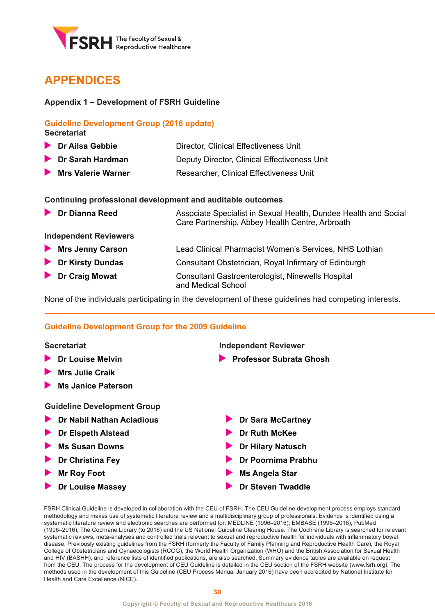<span id="page-32-0"></span>

### **APPENDICES**

#### **Appendix 1 – Development of FSRH Guideline**

#### **Guideline Development Group (2016 update) Secretariat**

| Dr Ailsa Gebbie | Director, Clinical Effectiveness Unit |
|-----------------|---------------------------------------|
|                 |                                       |

- **Dr Sarah Hardman Deputy Director, Clinical Effectiveness Unit**
- **Mrs Valerie Warner** Researcher, Clinical Effectiveness Unit

#### **Continuing professional development and auditable outcomes**

|                       | Dr Dianna Reed               | Associate Specialist in Sexual Health, Dundee Health and Social<br>Care Partnership, Abbey Health Centre, Arbroath |  |  |  |
|-----------------------|------------------------------|--------------------------------------------------------------------------------------------------------------------|--|--|--|
|                       | <b>Independent Reviewers</b> |                                                                                                                    |  |  |  |
|                       | Mrs Jenny Carson             | Lead Clinical Pharmacist Women's Services, NHS Lothian                                                             |  |  |  |
| $\blacktriangleright$ | <b>Dr Kirsty Dundas</b>      | Consultant Obstetrician, Royal Infirmary of Edinburgh                                                              |  |  |  |
|                       | Dr Craig Mowat               | <b>Consultant Gastroenterologist, Ninewells Hospital</b><br>and Medical School                                     |  |  |  |

None of the individuals participating in the development of these guidelines had competing interests.

#### **Guideline Development Group for the 2009 Guideline**

#### **Secretariat**

- **Dr Louise Melvin**
- **Mrs Julie Craik**
- **Ms Janice Paterson**

#### **Guideline Development Group**

- **Dr Nabil Nathan Acladious**
- **Dr Elspeth Alstead**
- **Ms Susan Downs**
- **Dr Christina Fey**
- **Mr Roy Foot**
- **Dr Louise Massey**

**Independent Reviewer**

- **Professor Subrata Ghosh**
	- **Dr Sara McCartney**
	- **Dr Ruth McKee**
	- **Dr Hilary Natusch**
	- **Dr Poornima Prabhu**
	- **Ms Angela Star**
	- **Dr Steven Twaddle**

FSRH Clinical Guideline is developed in collaboration with the CEU of FSRH. The CEU Guideline development process employs standard methodology and makes use of systematic literature review and a multidisciplinary group of professionals. Evidence is identified using a systematic literature review and electronic searches are performed for: MEDLINE (1996–2016); EMBASE (1996–2016); PubMed (1996–2016); The Cochrane Library (to 2016) and the US National Guideline Clearing House. The Cochrane Library is searched for relevant systematic reviews, meta-analyses and controlled trials relevant to sexual and reproductive health for individuals with inflammatory bowel disease. Previously existing guidelines from the FSRH (formerly the Faculty of Family Planning and Reproductive Health Care), the Royal College of Obstetricians and Gynaecologists (RCOG), the World Health Organization (WHO) and the British Association for Sexual Health and HIV (BASHH), and reference lists of identified publications, are also searched. Summary evidence tables are available on request from the CEU. The process for the development of CEU Guideline is detailed in the CEU section of the FSRH website [\(www.fsrh.org\). Th](http://www.fsrh.org)e methods used in the development of this Guideline (CEU Process Manual January 2016) have been accredited by National Institute for Health and Care Excellence (NICE).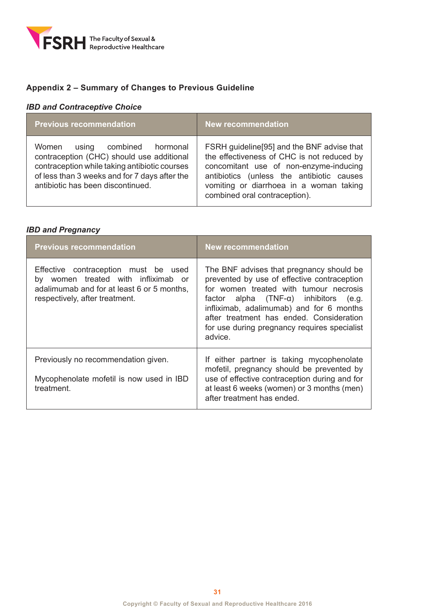<span id="page-33-0"></span>

#### **Appendix 2 – Summary of Changes to Previous Guideline**

#### *IBD and Contraceptive Choice*

| <b>Previous recommendation</b>                                                                                                                                                                                             | <b>New recommendation</b>                                                                                                                                                                                                                                   |
|----------------------------------------------------------------------------------------------------------------------------------------------------------------------------------------------------------------------------|-------------------------------------------------------------------------------------------------------------------------------------------------------------------------------------------------------------------------------------------------------------|
| Women<br>combined<br>hormonal<br>using<br>contraception (CHC) should use additional<br>contraception while taking antibiotic courses<br>of less than 3 weeks and for 7 days after the<br>antibiotic has been discontinued. | FSRH guideline[95] and the BNF advise that<br>the effectiveness of CHC is not reduced by<br>concomitant use of non-enzyme-inducing<br>antibiotics (unless the antibiotic causes<br>vomiting or diarrhoea in a woman taking<br>combined oral contraception). |

#### *IBD and Pregnancy*

| <b>Previous recommendation</b>                                                                                                                              | <b>New recommendation</b>                                                                                                                                                                                                                                                                                                            |
|-------------------------------------------------------------------------------------------------------------------------------------------------------------|--------------------------------------------------------------------------------------------------------------------------------------------------------------------------------------------------------------------------------------------------------------------------------------------------------------------------------------|
| Effective contraception must be used<br>by women treated with infliximab or<br>adalimumab and for at least 6 or 5 months,<br>respectively, after treatment. | The BNF advises that pregnancy should be<br>prevented by use of effective contraception<br>for women treated with tumour necrosis<br>factor alpha $(TNF-\alpha)$ inhibitors (e.g.<br>infliximab, adalimumab) and for 6 months<br>after treatment has ended. Consideration<br>for use during pregnancy requires specialist<br>advice. |
| Previously no recommendation given.<br>Mycophenolate mofetil is now used in IBD<br>treatment.                                                               | If either partner is taking mycophenolate<br>mofetil, pregnancy should be prevented by<br>use of effective contraception during and for<br>at least 6 weeks (women) or 3 months (men)<br>after treatment has ended.                                                                                                                  |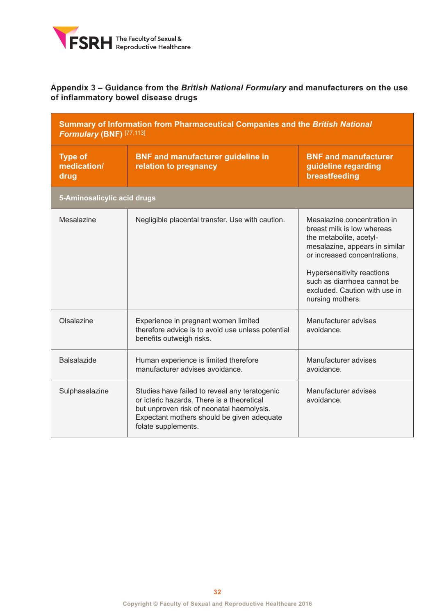<span id="page-34-0"></span>

#### **Appendix 3 – Guidance from the** *British National Formulary* **and manufacturers on the use of inflammatory bowel disease drugs**

| Summary of Information from Pharmaceutical Companies and the British National<br>Formulary (BNF) [77,113] |                                                                                                                                                                                                               |                                                                                                                                                                                                                                                                          |  |  |
|-----------------------------------------------------------------------------------------------------------|---------------------------------------------------------------------------------------------------------------------------------------------------------------------------------------------------------------|--------------------------------------------------------------------------------------------------------------------------------------------------------------------------------------------------------------------------------------------------------------------------|--|--|
| <b>Type of</b><br>medication/<br>drug                                                                     | <b>BNF and manufacturer guideline in</b><br>relation to pregnancy                                                                                                                                             | <b>BNF and manufacturer</b><br>guideline regarding<br>breastfeeding                                                                                                                                                                                                      |  |  |
| 5-Aminosalicylic acid drugs                                                                               |                                                                                                                                                                                                               |                                                                                                                                                                                                                                                                          |  |  |
| Mesalazine                                                                                                | Negligible placental transfer. Use with caution.                                                                                                                                                              | Mesalazine concentration in<br>breast milk is low whereas<br>the metabolite, acetyl-<br>mesalazine, appears in similar<br>or increased concentrations.<br>Hypersensitivity reactions<br>such as diarrhoea cannot be<br>excluded. Caution with use in<br>nursing mothers. |  |  |
| Olsalazine                                                                                                | Experience in pregnant women limited<br>therefore advice is to avoid use unless potential<br>benefits outweigh risks.                                                                                         | Manufacturer advises<br>avoidance.                                                                                                                                                                                                                                       |  |  |
| <b>Balsalazide</b>                                                                                        | Human experience is limited therefore<br>manufacturer advises avoidance.                                                                                                                                      | Manufacturer advises<br>avoidance.                                                                                                                                                                                                                                       |  |  |
| Sulphasalazine                                                                                            | Studies have failed to reveal any teratogenic<br>or icteric hazards. There is a theoretical<br>but unproven risk of neonatal haemolysis.<br>Expectant mothers should be given adequate<br>folate supplements. | Manufacturer advises<br>avoidance.                                                                                                                                                                                                                                       |  |  |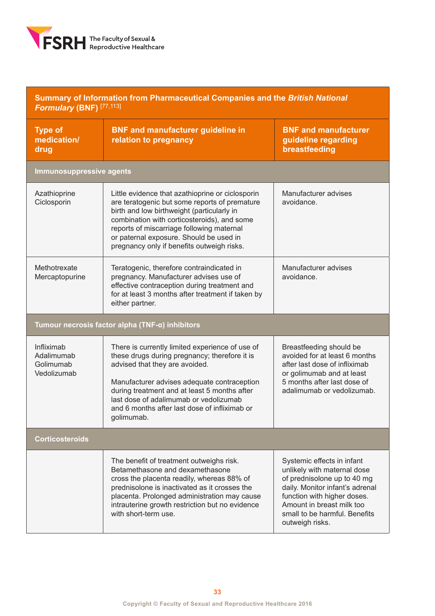

| Summary of Information from Pharmaceutical Companies and the British National<br>Formulary (BNF) [77,113] |                                                                                                                                                                                                                                                                                                                                            |                                                                                                                                                                                                                                             |  |  |
|-----------------------------------------------------------------------------------------------------------|--------------------------------------------------------------------------------------------------------------------------------------------------------------------------------------------------------------------------------------------------------------------------------------------------------------------------------------------|---------------------------------------------------------------------------------------------------------------------------------------------------------------------------------------------------------------------------------------------|--|--|
| <b>Type of</b><br>medication/<br>drug                                                                     | <b>BNF and manufacturer guideline in</b><br>relation to pregnancy                                                                                                                                                                                                                                                                          | <b>BNF and manufacturer</b><br>guideline regarding<br>breastfeeding                                                                                                                                                                         |  |  |
| <b>Immunosuppressive agents</b>                                                                           |                                                                                                                                                                                                                                                                                                                                            |                                                                                                                                                                                                                                             |  |  |
| Azathioprine<br>Ciclosporin                                                                               | Little evidence that azathioprine or ciclosporin<br>are teratogenic but some reports of premature<br>birth and low birthweight (particularly in<br>combination with corticosteroids), and some<br>reports of miscarriage following maternal<br>or paternal exposure. Should be used in<br>pregnancy only if benefits outweigh risks.       | Manufacturer advises<br>avoidance.                                                                                                                                                                                                          |  |  |
| Methotrexate<br>Mercaptopurine                                                                            | Teratogenic, therefore contraindicated in<br>pregnancy. Manufacturer advises use of<br>effective contraception during treatment and<br>for at least 3 months after treatment if taken by<br>either partner.                                                                                                                                | Manufacturer advises<br>avoidance.                                                                                                                                                                                                          |  |  |
| Tumour necrosis factor alpha (TNF-α) inhibitors                                                           |                                                                                                                                                                                                                                                                                                                                            |                                                                                                                                                                                                                                             |  |  |
| Infliximab<br>Adalimumab<br>Golimumab<br>Vedolizumab                                                      | There is currently limited experience of use of<br>these drugs during pregnancy; therefore it is<br>advised that they are avoided.<br>Manufacturer advises adequate contraception<br>during treatment and at least 5 months after<br>last dose of adalimumab or vedolizumab<br>and 6 months after last dose of infliximab or<br>golimumab. | Breastfeeding should be<br>avoided for at least 6 months<br>after last dose of infliximab<br>or golimumab and at least<br>5 months after last dose of<br>adalimumab or vedolizumab.                                                         |  |  |
| <b>Corticosteroids</b>                                                                                    |                                                                                                                                                                                                                                                                                                                                            |                                                                                                                                                                                                                                             |  |  |
|                                                                                                           | The benefit of treatment outweighs risk.<br>Betamethasone and dexamethasone<br>cross the placenta readily, whereas 88% of<br>prednisolone is inactivated as it crosses the<br>placenta. Prolonged administration may cause<br>intrauterine growth restriction but no evidence<br>with short-term use.                                      | Systemic effects in infant<br>unlikely with maternal dose<br>of prednisolone up to 40 mg<br>daily. Monitor infant's adrenal<br>function with higher doses.<br>Amount in breast milk too<br>small to be harmful. Benefits<br>outweigh risks. |  |  |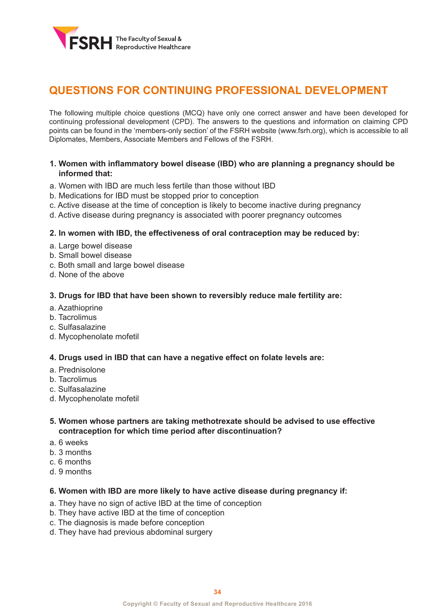<span id="page-36-0"></span>

### **QUESTIONS FOR CONTINUING PROFESSIONAL DEVELOPMENT**

The following multiple choice questions (MCQ) have only one correct answer and have been developed for continuing professional development (CPD). The answers to the questions and information on claiming CPD points can be found in the 'members-only section' of the FSRH website [\(www.fsrh.org\), wh](http://www.fsrh.org)ich is accessible to all Diplomates, Members, Associate Members and Fellows of the FSRH.

#### **1. Women with inflammatory bowel disease (IBD) who are planning a pregnancy should be informed that:**

- a. Women with IBD are much less fertile than those without IBD
- b. Medications for IBD must be stopped prior to conception
- c. Active disease at the time of conception is likely to become inactive during pregnancy
- d. Active disease during pregnancy is associated with poorer pregnancy outcomes

#### **2. In women with IBD, the effectiveness of oral contraception may be reduced by:**

- a. Large bowel disease
- b. Small bowel disease
- c. Both small and large bowel disease
- d. None of the above

#### **3. Drugs for IBD that have been shown to reversibly reduce male fertility are:**

- a. Azathioprine
- b. Tacrolimus
- c. Sulfasalazine
- d. Mycophenolate mofetil

#### **4. Drugs used in IBD that can have a negative effect on folate levels are:**

- a. Prednisolone
- b. Tacrolimus
- c. Sulfasalazine
- d. Mycophenolate mofetil

#### **5. Women whose partners are taking methotrexate should be advised to use effective contraception for which time period after discontinuation?**

- a. 6 weeks
- b. 3 months
- c. 6 months
- d. 9 months

#### **6. Women with IBD are more likely to have active disease during pregnancy if:**

- a. They have no sign of active IBD at the time of conception
- b. They have active IBD at the time of conception
- c. The diagnosis is made before conception
- d. They have had previous abdominal surgery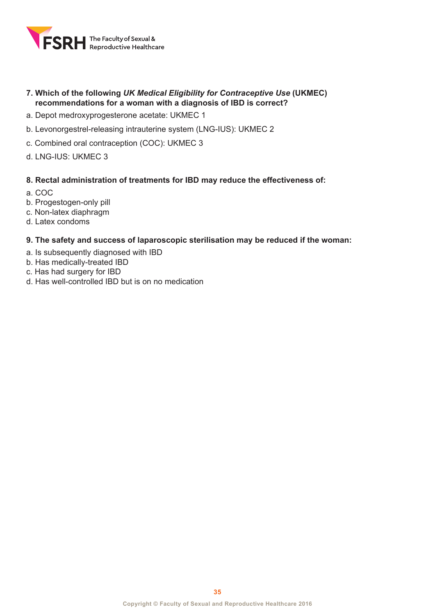

- **7. Which of the following** *UK Medical Eligibility for Contraceptive Use* **(UKMEC) recommendations for a woman with a diagnosis of IBD is correct?**
- a. Depot medroxyprogesterone acetate: UKMEC 1
- b. Levonorgestrel-releasing intrauterine system (LNG-IUS): UKMEC 2
- c. Combined oral contraception (COC): UKMEC 3
- d. LNG-IUS: UKMEC 3
- **8. Rectal administration of treatments for IBD may reduce the effectiveness of:**
- a. COC
- b. Progestogen-only pill
- c. Non-latex diaphragm
- d. Latex condoms

#### **9. The safety and success of laparoscopic sterilisation may be reduced if the woman:**

- a. Is subsequently diagnosed with IBD
- b. Has medically-treated IBD
- c. Has had surgery for IBD
- d. Has well-controlled IBD but is on no medication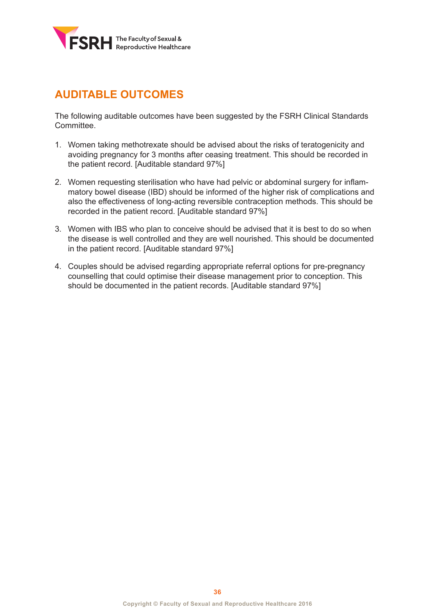<span id="page-38-0"></span>

### **AUDITABLE OUTCOMES**

The following auditable outcomes have been suggested by the FSRH Clinical Standards **Committee.** 

- 1. Women taking methotrexate should be advised about the risks of teratogenicity and avoiding pregnancy for 3 months after ceasing treatment. This should be recorded in the patient record. [Auditable standard 97%]
- 2. Women requesting sterilisation who have had pelvic or abdominal surgery for inflammatory bowel disease (IBD) should be informed of the higher risk of complications and also the effectiveness of long-acting reversible contraception methods. This should be recorded in the patient record. [Auditable standard 97%]
- 3. Women with IBS who plan to conceive should be advised that it is best to do so when the disease is well controlled and they are well nourished. This should be documented in the patient record. [Auditable standard 97%]
- 4. Couples should be advised regarding appropriate referral options for pre-pregnancy counselling that could optimise their disease management prior to conception. This should be documented in the patient records. [Auditable standard 97%]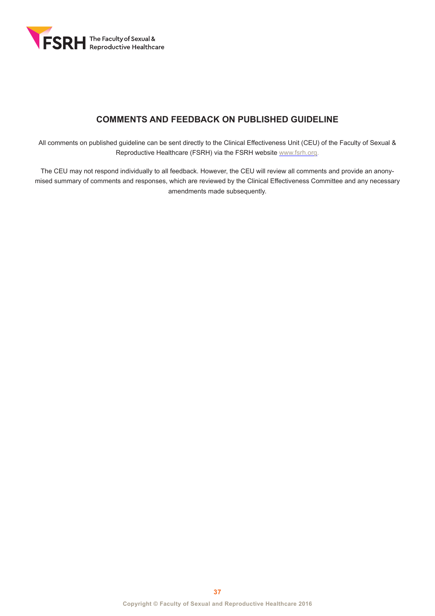

#### **COMMENTS AND FEEDBACK ON PUBLISHED GUIDELINE**

All comments on published guideline can be sent directly to the Clinical Effectiveness Unit (CEU) of the Faculty of Sexual & Reproductive Healthcare (FSRH) via the FSRH website [www.fsrh.org.](http://www.fsrh.org)

The CEU may not respond individually to all feedback. However, the CEU will review all comments and provide an anonymised summary of comments and responses, which are reviewed by the Clinical Effectiveness Committee and any necessary amendments made subsequently.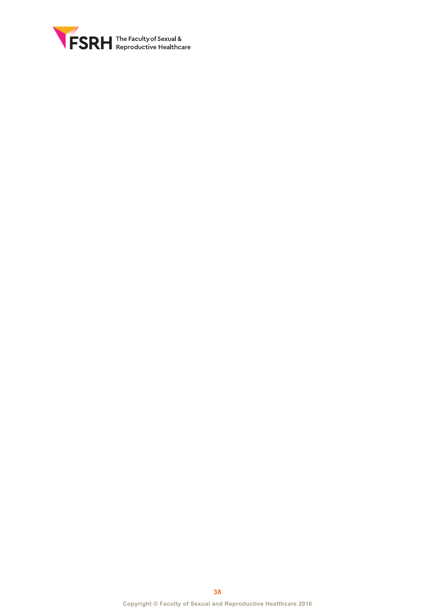